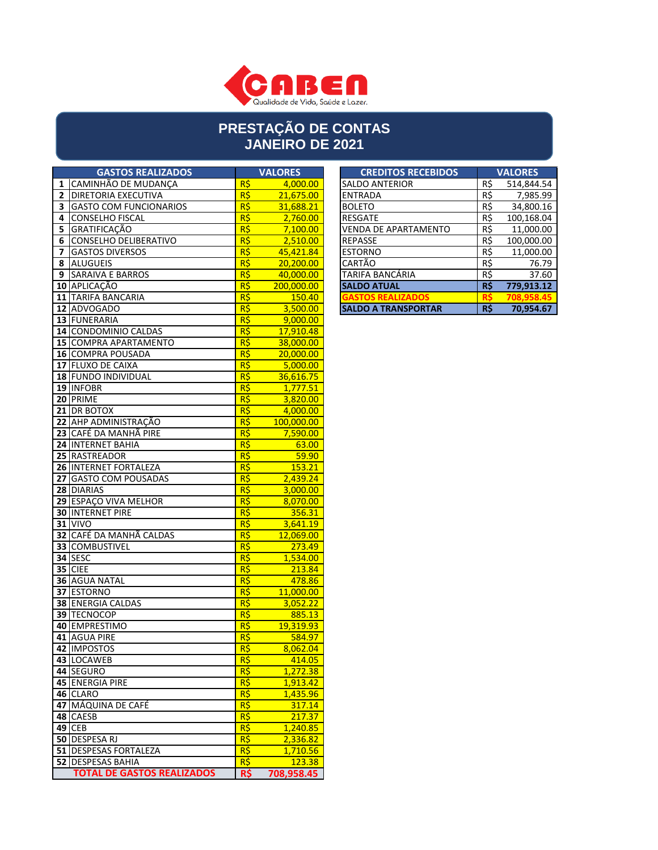

#### **PRESTAÇÃO DE CONTAS JANEIRO DE 2021**

|                         | <b>GASTOS REALIZADOS</b>          |                 | <b>VALORES</b> | <b>CREDITOS RECEBIDOS</b>   |                 | <b>VALORES</b> |
|-------------------------|-----------------------------------|-----------------|----------------|-----------------------------|-----------------|----------------|
|                         | 1 CAMINHÃO DE MUDANÇA             | R\$             | 4,000.00       | <b>SALDO ANTERIOR</b>       | R\$             | 514,844.54     |
|                         | 2 DIRETORIA EXECUTIVA             | $R\frac{1}{2}$  | 21,675.00      | <b>ENTRADA</b>              | $R\overline{S}$ | 7,985.99       |
|                         | 3 GASTO COM FUNCIONARIOS          | $R\frac{2}{3}$  | 31,688.21      | <b>BOLETO</b>               | R\$             | 34,800.16      |
|                         | 4 CONSELHO FISCAL                 | $R\frac{1}{2}$  | 2,760.00       | RESGATE                     | R\$             | 100,168.04     |
| 5                       | GRATIFICAÇÃO                      | $R\overline{S}$ | 7,100.00       | <b>VENDA DE APARTAMENTO</b> | R\$             | 11,000.00      |
|                         | 6 CONSELHO DELIBERATIVO           | $R\frac{2}{3}$  | 2,510.00       | <b>REPASSE</b>              | R\$             | 100,000.00     |
| $\overline{\mathbf{z}}$ | <b>GASTOS DIVERSOS</b>            | $R\frac{2}{3}$  | 45,421.84      | <b>ESTORNO</b>              | $R\zeta$        | 11,000.00      |
|                         | 8 ALUGUEIS                        | $R\frac{2}{3}$  | 20,200.00      | CARTÃO                      | $R\zeta$        | 76.79          |
|                         | 9 SARAIVA E BARROS                | R\$             | 40,000.00      | <b>TARIFA BANCARIA</b>      | R\$             | 37.60          |
|                         | 10 APLICAÇÃO                      | $R\frac{2}{3}$  | 200,000.00     | <b>SALDO ATUAL</b>          | R\$             | 779,913.12     |
|                         | 11 TARIFA BANCARIA                | $R\frac{2}{3}$  | 150.40         | <b>GASTOS REALIZADOS</b>    | R\$             | 708.958.45     |
|                         | 12 ADVOGADO                       | $R\frac{2}{3}$  | 3,500.00       | <b>SALDO A TRANSPORTAR</b>  | R\$             | 70,954.67      |
|                         | 13 FUNERARIA                      | $R\frac{2}{3}$  | 9,000.00       |                             |                 |                |
|                         | 14 CONDOMINIO CALDAS              | $R\frac{1}{2}$  | 17,910.48      |                             |                 |                |
|                         | 15 COMPRA APARTAMENTO             | $R\frac{1}{2}$  | 38,000.00      |                             |                 |                |
|                         | 16 COMPRA POUSADA                 | $R\frac{2}{3}$  | 20,000.00      |                             |                 |                |
|                         | 17 FLUXO DE CAIXA                 | $R\overline{S}$ | 5,000.00       |                             |                 |                |
|                         | 18 FUNDO INDIVIDUAL               | $R\frac{2}{3}$  | 36,616.75      |                             |                 |                |
|                         | 19 INFOBR                         | $R\frac{1}{2}$  | 1,777.51       |                             |                 |                |
|                         | 20 PRIME                          | $R\frac{1}{2}$  | 3,820.00       |                             |                 |                |
|                         | 21 DR BOTOX                       | $R\frac{2}{3}$  | 4.000.00       |                             |                 |                |
|                         | 22 AHP ADMINISTRAÇÃO              | $R\frac{2}{3}$  | 100,000.00     |                             |                 |                |
|                         | 23 CAFÉ DA MANHÃ PIRE             | $R\frac{2}{3}$  | 7,590.00       |                             |                 |                |
|                         | 24 INTERNET BAHIA                 | $R\frac{1}{2}$  | 63.00          |                             |                 |                |
|                         | 25 RASTREADOR                     | $R\zeta$        | 59.90          |                             |                 |                |
|                         | <b>26 INTERNET FORTALEZA</b>      | $R\frac{1}{2}$  | 153.21         |                             |                 |                |
|                         | 27 GASTO COM POUSADAS             | $R\zeta$        | 2,439.24       |                             |                 |                |
|                         | 28 DIARIAS                        | $R\frac{2}{3}$  | 3,000.00       |                             |                 |                |
|                         | 29 ESPAÇO VIVA MELHOR             | $R\frac{1}{2}$  | 8,070.00       |                             |                 |                |
|                         | 30 INTERNET PIRE                  | $R\overline{S}$ | 356.31         |                             |                 |                |
|                         | <b>31 VIVO</b>                    | $R\frac{2}{3}$  | 3,641.19       |                             |                 |                |
|                         | 32 CAFÉ DA MANHÃ CALDAS           | $R\frac{2}{3}$  | 12,069.00      |                             |                 |                |
|                         | 33 COMBUSTIVEL                    | $R\frac{2}{3}$  | 273.49         |                             |                 |                |
|                         | <b>34 SESC</b>                    | $R\frac{2}{3}$  | 1,534.00       |                             |                 |                |
|                         | <b>35 CIEE</b>                    | $R\frac{1}{2}$  | 213.84         |                             |                 |                |
|                         | 36 AGUA NATAL                     | $R\frac{2}{3}$  | 478.86         |                             |                 |                |
|                         | 37 ESTORNO                        | $R\frac{1}{2}$  | 11,000.00      |                             |                 |                |
|                         | 38 ENERGIA CALDAS                 | $R\frac{2}{3}$  | 3,052.22       |                             |                 |                |
|                         | 39 TECNOCOP                       | $R\frac{2}{3}$  | 885.13         |                             |                 |                |
|                         | 40 EMPRESTIMO                     | $R\frac{2}{3}$  | 19.319.93      |                             |                 |                |
|                         | 41 AGUA PIRE                      | $R\overline{S}$ | 584.97         |                             |                 |                |
|                         | 42 IMPOSTOS                       | $R\frac{1}{2}$  | 8,062.04       |                             |                 |                |
|                         | 43 LOCAWEB                        | $R\frac{2}{3}$  | 414.05         |                             |                 |                |
|                         | 44 SEGURO                         | $R\frac{1}{2}$  | 1,272.38       |                             |                 |                |
|                         | 45 ENERGIA PIRE                   | $R\frac{1}{2}$  | 1,913.42       |                             |                 |                |
|                         | 46 CLARO                          | $R\frac{2}{3}$  | 1,435.96       |                             |                 |                |
|                         | 47 MÁQUINA DE CAFÉ                | $R\frac{2}{3}$  | 317.14         |                             |                 |                |
|                         | 48 CAESB                          | $R\frac{2}{3}$  | 217.37         |                             |                 |                |
|                         | <b>49 CEB</b>                     | $R\frac{1}{2}$  | 1,240.85       |                             |                 |                |
|                         | 50 DESPESA RJ                     | $R\frac{1}{2}$  | 2,336.82       |                             |                 |                |
|                         | 51 DESPESAS FORTALEZA             | $R\frac{2}{3}$  | 1,710.56       |                             |                 |                |
|                         | <b>52 DESPESAS BAHIA</b>          | $R\frac{2}{3}$  | 123.38         |                             |                 |                |
|                         | <b>TOTAL DE GASTOS REALIZADOS</b> | R\$             | 708,958.45     |                             |                 |                |

| <b>VALORES</b> | <b>CREDITOS RECEBIDOS</b>   |            | <b>VALORES</b> |
|----------------|-----------------------------|------------|----------------|
| 4,000.00       | <b>SALDO ANTERIOR</b>       | R\$        | 514,844.54     |
| 21,675.00      | <b>ENTRADA</b>              | R\$        | 7,985.99       |
| 31,688.21      | <b>BOLETO</b>               | R\$        | 34,800.16      |
| 2,760.00       | <b>RESGATE</b>              | R\$        | 100,168.04     |
| 7,100.00       | <b>VENDA DE APARTAMENTO</b> | R\$        | 11,000.00      |
| 2,510.00       | <b>REPASSE</b>              | R\$        | 100,000.00     |
| 45,421.84      | <b>ESTORNO</b>              | R\$        | 11,000.00      |
| 20,200.00      | CARTÃO                      | R\$        | 76.79          |
| 40,000.00      | TARIFA BANCÁRIA             | R\$        | 37.60          |
| 200,000.00     | <b>SALDO ATUAL</b>          | R\$        | 779,913.12     |
| 150.40         | <b>GASTOS REALIZADOS</b>    | <b>R\$</b> | 708.958.45     |
| 3,500.00       | <b>SALDO A TRANSPORTAR</b>  | R\$        | 70,954.67      |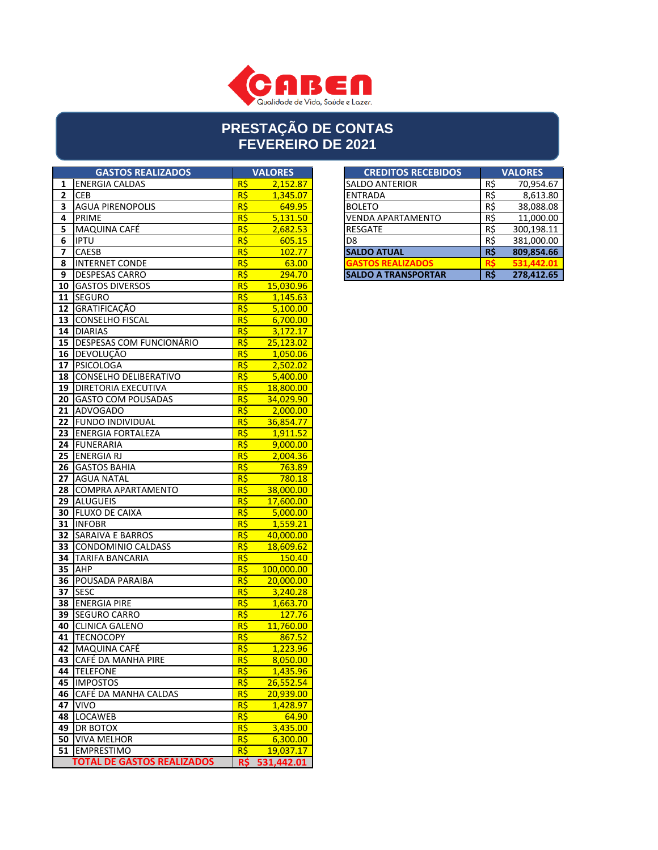

#### **PRESTAÇÃO DE CONTAS FEVEREIRO DE 2021**

|              | <b>GASTOS REALIZADOS</b>          |                | <b>VALORES</b>        | <b>CREDITOS RECEBIDOS</b>  |     | <b>VALORES</b> |
|--------------|-----------------------------------|----------------|-----------------------|----------------------------|-----|----------------|
| 1            | <b>ENERGIA CALDAS</b>             | $R\frac{2}{3}$ | 2,152.87              | <b>SALDO ANTERIOR</b>      | R\$ | 70,954.67      |
| $\mathbf{2}$ | <b>CEB</b>                        | R\$            | 1,345.07              | <b>ENTRADA</b>             | R\$ | 8,613.80       |
| 3            | <b>AGUA PIRENOPOLIS</b>           | R\$            | 649.95                | <b>BOLETO</b>              | R\$ | 38,088.08      |
| 4            | <b>PRIME</b>                      | $R\frac{1}{2}$ | 5,131.50              | <b>VENDA APARTAMENTO</b>   | R\$ | 11,000.00      |
| 5            | MAQUINA CAFÉ                      | $R\frac{1}{2}$ | 2,682.53              | <b>RESGATE</b>             | R\$ | 300,198.11     |
| 6            | <b>IPTU</b>                       | R\$            | 605.15                | D <sub>8</sub>             | R\$ | 381,000.00     |
| 7            | <b>CAESB</b>                      | R\$            | 102.77                | <b>SALDO ATUAL</b>         | R\$ | 809,854.66     |
| 8            | <b>INTERNET CONDE</b>             | $R\frac{2}{3}$ | 63.00                 | <b>GASTOS REALIZADOS</b>   | R\$ | 531,442.01     |
| 9            | <b>DESPESAS CARRO</b>             | $R\frac{1}{2}$ | 294.70                | <b>SALDO A TRANSPORTAR</b> | R\$ | 278,412.65     |
|              | 10 GASTOS DIVERSOS                | $R\frac{2}{3}$ | 15,030.96             |                            |     |                |
|              | 11 SEGURO                         | R\$            | 1,145.63              |                            |     |                |
|              | 12 GRATIFICAÇÃO                   | $R\frac{2}{3}$ | 5,100.00              |                            |     |                |
| 13           | <b>CONSELHO FISCAL</b>            | R\$            | 6,700.00              |                            |     |                |
|              | 14 DIARIAS                        | $R\frac{2}{3}$ | 3,172.17              |                            |     |                |
|              | 15 DESPESAS COM FUNCIONÁRIO       | R\$            | 25,123.02             |                            |     |                |
|              | 16 DEVOLUÇÃO                      | R\$            | 1,050.06              |                            |     |                |
| 17           | <b>PSICOLOGA</b>                  | R\$            | 2,502.02              |                            |     |                |
|              | 18 CONSELHO DELIBERATIVO          | $R\frac{2}{3}$ | $\overline{5,400.00}$ |                            |     |                |
|              | <b>19   DIRETORIA EXECUTIVA</b>   | $R\frac{2}{3}$ | 18,800.00             |                            |     |                |
|              | <b>20 GASTO COM POUSADAS</b>      | $R\frac{2}{3}$ | 34,029.90             |                            |     |                |
|              | 21 ADVOGADO                       | R\$            | 2,000.00              |                            |     |                |
|              | 22 FUNDO INDIVIDUAL               | $R\frac{2}{3}$ | 36,854.77             |                            |     |                |
|              | 23 ENERGIA FORTALEZA              | R\$            | 1,911.52              |                            |     |                |
|              | 24 FUNERARIA                      | R\$            | 9,000.00              |                            |     |                |
|              | 25 ENERGIA RJ                     | R\$            | 2,004.36              |                            |     |                |
|              | 26 GASTOS BAHIA                   | $R\frac{1}{2}$ | 763.89                |                            |     |                |
|              | 27 AGUA NATAL                     | $R\frac{2}{3}$ | 780.18                |                            |     |                |
|              | 28 COMPRA APARTAMENTO             | R\$            | 38,000.00             |                            |     |                |
|              | 29 ALUGUEIS                       | R\$            | 17,600.00             |                            |     |                |
|              | <b>30 FLUXO DE CAIXA</b>          | R\$            | 5,000.00              |                            |     |                |
|              | 31 INFOBR                         | $R\frac{2}{3}$ | 1,559.21              |                            |     |                |
|              | <b>32 SARAIVA E BARROS</b>        | R\$            | 40,000.00             |                            |     |                |
|              | <b>33 CONDOMINIO CALDASS</b>      | $R\frac{2}{3}$ | 18,609.62             |                            |     |                |
|              | <b>34 TARIFA BANCARIA</b>         | $R\frac{2}{3}$ | 150.40                |                            |     |                |
|              | <b>35 AHP</b>                     | $R\frac{2}{3}$ | 100,000.00            |                            |     |                |
|              | 36 POUSADA PARAIBA                | R\$            | 20,000.00             |                            |     |                |
|              | 37 SESC                           | R\$            | 3,240.28              |                            |     |                |
|              | 38 ENERGIA PIRE                   | R\$            | 1,663.70              |                            |     |                |
|              | 39 SEGURO CARRO                   | $R\frac{1}{2}$ | 127.76                |                            |     |                |
|              | 40 CLINICA GALENO                 | R\$            | 11.760.00             |                            |     |                |
|              | 41 TECNOCOPY                      | R\$            | 867.52                |                            |     |                |
|              | 42 MAQUINA CAFÉ                   | $R\frac{2}{3}$ | 1,223.96              |                            |     |                |
|              | 43 CAFE DA MANHA PIRE             | $R\frac{2}{3}$ | 8,050.00              |                            |     |                |
|              | 44 TELEFONE                       | R\$            | 1,435.96              |                            |     |                |
|              | 45 IMPOSTOS                       | R\$            | 26,552.54             |                            |     |                |
|              | 46 CAFÉ DA MANHA CALDAS           | R\$            | 20,939.00             |                            |     |                |
|              | 47 VIVO                           | R\$            | 1,428.97              |                            |     |                |
|              | 48 LOCAWEB                        | R\$            | 64.90                 |                            |     |                |
|              | 49 IDR BOTOX                      | $R\frac{1}{2}$ | 3,435.00              |                            |     |                |
|              | <b>50 VIVA MELHOR</b>             | $R\frac{2}{3}$ | 6,300.00              |                            |     |                |
|              | 51 EMPRESTIMO                     | $R\frac{1}{2}$ | 19,037.17             |                            |     |                |
|              | <b>TOTAL DE GASTOS REALIZADOS</b> | R\$            | 531,442.01            |                            |     |                |

| <b>VALORES</b> | <b>CREDITOS RECEBIDOS</b>  |     | <b>VALORES</b> |
|----------------|----------------------------|-----|----------------|
| 2,152.87       | <b>SALDO ANTERIOR</b>      | R\$ | 70,954.67      |
| 1,345.07       | <b>ENTRADA</b>             | R\$ | 8,613.80       |
| 649.95         | <b>BOLETO</b>              | R\$ | 38,088.08      |
| 5,131.50       | <b>VENDA APARTAMENTO</b>   | R\$ | 11,000.00      |
| 2,682.53       | <b>RESGATE</b>             | R\$ | 300,198.11     |
| 605.15         | D8                         | R\$ | 381,000.00     |
| 102.77         | <b>SALDO ATUAL</b>         | R\$ | 809,854.66     |
| 63.00          | <b>GASTOS REALIZADOS</b>   |     | 531.442.01     |
| 294.70         | <b>SALDO A TRANSPORTAR</b> | R\$ | 278.412.65     |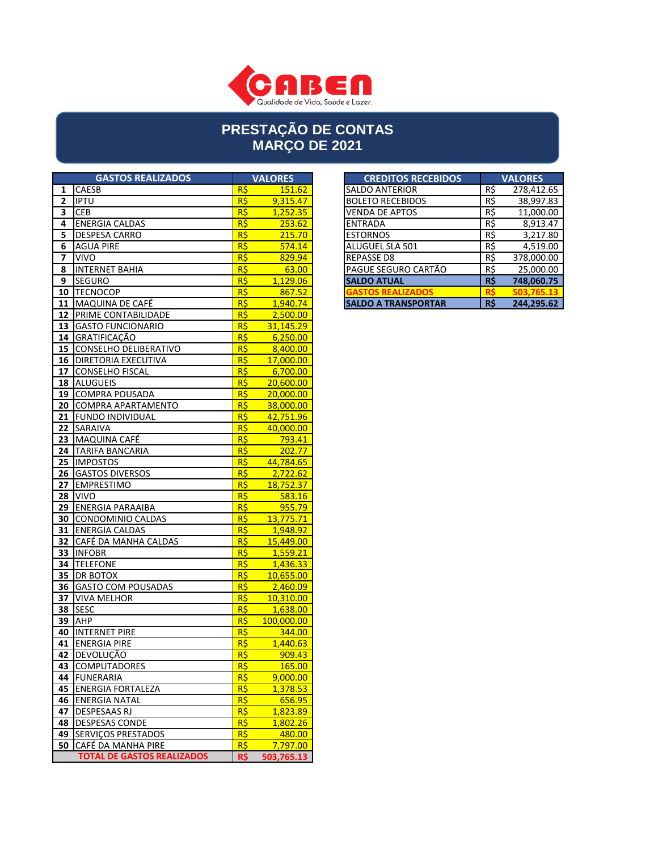

# **PRESTAÇÃO DE CONTAS MARÇO DE 2021**

|                | <b>GASTOS REALIZADOS</b>            |                                  | <b>VALORES</b>     | <b>CREDITOS RECEBIDOS</b>  |                 | <b>VALORES</b> |
|----------------|-------------------------------------|----------------------------------|--------------------|----------------------------|-----------------|----------------|
| 1              | <b>CAESB</b>                        | $R\frac{1}{2}$                   | 151.62             | SALDO ANTERIOR             | R\$             | 278,412.65     |
| $\overline{2}$ | <b>IPTU</b>                         | R\$                              | 9,315.47           | <b>BOLETO RECEBIDOS</b>    | R\$             | 38,997.83      |
| 3              | <b>CEB</b>                          | $R\frac{2}{3}$                   | 1,252.35           | <b>VENDA DE APTOS</b>      | R\$             | 11,000.00      |
| 4              | <b>ENERGIA CALDAS</b>               | R\$                              | 253.62             | <b>ENTRADA</b>             | R\$             | 8,913.47       |
| 5              | <b>DESPESA CARRO</b>                | R\$                              | 215.70             | <b>ESTORNOS</b>            | $R\overline{S}$ | 3,217.80       |
| 6              | <b>AGUA PIRE</b>                    | R\$                              | 574.14             | ALUGUEL SLA 501            | R\$             | 4,519.00       |
| 7              | <b>VIVO</b>                         | R\$                              | 829.94             | <b>REPASSE D8</b>          | R\$             | 378,000.00     |
| 8              | <b>INTERNET BAHIA</b>               | R\$                              | 63.00              | PAGUE SEGURO CARTÃO        | R\$             | 25,000.00      |
| 9              | <b>SEGURO</b>                       | $R\frac{1}{2}$                   | 1,129.06           | <b>SALDO ATUAL</b>         | $R\frac{2}{3}$  | 748,060.75     |
|                | 10 TECNOCOP                         | R\$                              | 867.52             | <b>GASTOS REALIZADOS</b>   | <b>RS</b>       | 503.765.13     |
|                | 11 MAQUINA DE CAFÉ                  | R\$                              | 1,940.74           | <b>SALDO A TRANSPORTAR</b> | R\$             | 244,295.62     |
|                | <b>12 PRIME CONTABILIDADE</b>       | R\$                              | 2,500.00           |                            |                 |                |
|                | <b>13 GASTO FUNCIONARIO</b>         | $R\frac{2}{3}$                   | 31,145.29          |                            |                 |                |
|                | 14 GRATIFICAÇÃO                     | R\$                              | 6,250.00           |                            |                 |                |
|                | <b>15   CONSELHO DELIBERATIVO</b>   | $R\frac{2}{3}$                   | 8,400.00           |                            |                 |                |
|                | <b>16   DIRETORIA EXECUTIVA</b>     | $R\frac{1}{2}$                   | 17,000.00          |                            |                 |                |
|                | 17 CONSELHO FISCAL                  | R\$                              | 6,700.00           |                            |                 |                |
|                | 18 ALUGUEIS                         | R\$                              | 20,600.00          |                            |                 |                |
|                | 19 COMPRA POUSADA                   | R\$                              | 20,000.00          |                            |                 |                |
|                | 20 COMPRA APARTAMENTO               | $R\frac{1}{2}$                   | 38,000.00          |                            |                 |                |
|                | 21 FUNDO INDIVIDUAL                 | R\$                              | 42,751.96          |                            |                 |                |
|                | 22 SARAIVA                          | $R\frac{2}{3}$                   | 40,000.00          |                            |                 |                |
|                | 23 MAQUINA CAFÉ                     | R\$                              | 793.41             |                            |                 |                |
|                | 24 TARIFA BANCARIA                  | $R\frac{2}{3}$                   | 202.77             |                            |                 |                |
|                | 25 IMPOSTOS                         | R\$                              | 44,784.65          |                            |                 |                |
|                | 26 GASTOS DIVERSOS                  | R\$                              | 2,722.62           |                            |                 |                |
|                | 27 EMPRESTIMO                       | R\$                              | 18,752.37          |                            |                 |                |
|                | <b>28 VIVO</b>                      | R\$                              | 583.16             |                            |                 |                |
|                | 29 ENERGIA PARAAIBA                 | R\$                              | 955.79             |                            |                 |                |
|                | <b>30 CONDOMINIO CALDAS</b>         | R\$                              | 13,775.71          |                            |                 |                |
|                | <b>31 ENERGIA CALDAS</b>            | R\$                              | 1,948.92           |                            |                 |                |
|                | 32 CAFÉ DA MANHA CALDAS             | R\$                              | 15,449.00          |                            |                 |                |
|                | 33 INFOBR                           | R\$                              | 1,559.21           |                            |                 |                |
|                | 34 TELEFONE                         | $R\frac{2}{3}$                   | 1,436.33           |                            |                 |                |
|                | 35 DR BOTOX                         | R\$                              | 10,655.00          |                            |                 |                |
|                | 36 GASTO COM POUSADAS               | R\$                              | 2,460.09           |                            |                 |                |
|                | <b>37 VIVA MELHOR</b>               | R\$                              | 10,310.00          |                            |                 |                |
|                | <b>38 SESC</b>                      | R\$                              | 1,638.00           |                            |                 |                |
|                | <b>39 AHP</b>                       | R\$                              | 100,000.00         |                            |                 |                |
|                | <b>40 INTERNET PIRE</b>             | R\$                              | 344.00             |                            |                 |                |
|                | <b>41 ENERGIA PIRE</b>              | R\$                              | 1,440.63           |                            |                 |                |
|                | 42 DEVOLUÇÃO                        | $R\frac{2}{3}$                   | 909.43             |                            |                 |                |
|                | 43 COMPUTADORES                     | R\$                              | 165.00             |                            |                 |                |
|                | 44 FUNERARIA                        | $R\frac{1}{2}$                   | 9,000.00           |                            |                 |                |
|                | 45 ENERGIA FORTALEZA                | $R\frac{2}{3}$                   | 1,378.53           |                            |                 |                |
|                | 46 ENERGIA NATAL<br>47 DESPESAAS RJ | $R\frac{2}{3}$<br>$R\frac{2}{3}$ | 656.95<br>1,823.89 |                            |                 |                |
|                | 48 DESPESAS CONDE                   |                                  |                    |                            |                 |                |
|                | 49 SERVIÇOS PRESTADOS               | $R\frac{1}{2}$<br>R\$            | 1,802.26           |                            |                 |                |
|                | 50 CAFÉ DA MANHA PIRE               | $R\frac{1}{2}$                   | 480.00<br>7,797.00 |                            |                 |                |
|                | <b>TOTAL DE GASTOS REALIZADOS</b>   | R\$                              | 503,765.13         |                            |                 |                |
|                |                                     |                                  |                    |                            |                 |                |

| <b>VALORES</b> | <b>CREDITOS RECEBIDOS</b>  |     | <b>VALORES</b> |
|----------------|----------------------------|-----|----------------|
| 151.62         | <b>SALDO ANTERIOR</b>      | R\$ | 278,412.65     |
| 9,315.47       | <b>BOLETO RECEBIDOS</b>    | R\$ | 38,997.83      |
| 1,252.35       | <b>VENDA DE APTOS</b>      | R\$ | 11,000.00      |
| 253.62         | <b>ENTRADA</b>             | R\$ | 8,913.47       |
| 215.70         | <b>ESTORNOS</b>            | R\$ | 3,217.80       |
| 574.14         | ALUGUEL SLA 501            | R\$ | 4,519.00       |
| 829.94         | <b>REPASSE D8</b>          | R\$ | 378,000.00     |
| 63.00          | PAGUE SEGURO CARTÃO        | R\$ | 25,000.00      |
| 1,129.06       | <b>SALDO ATUAL</b>         | R\$ | 748,060.75     |
| 867.52         | <b>GASTOS REALIZADOS</b>   | RS  | 503.765.13     |
| 1,940.74       | <b>SALDO A TRANSPORTAR</b> | R\$ | 244,295.62     |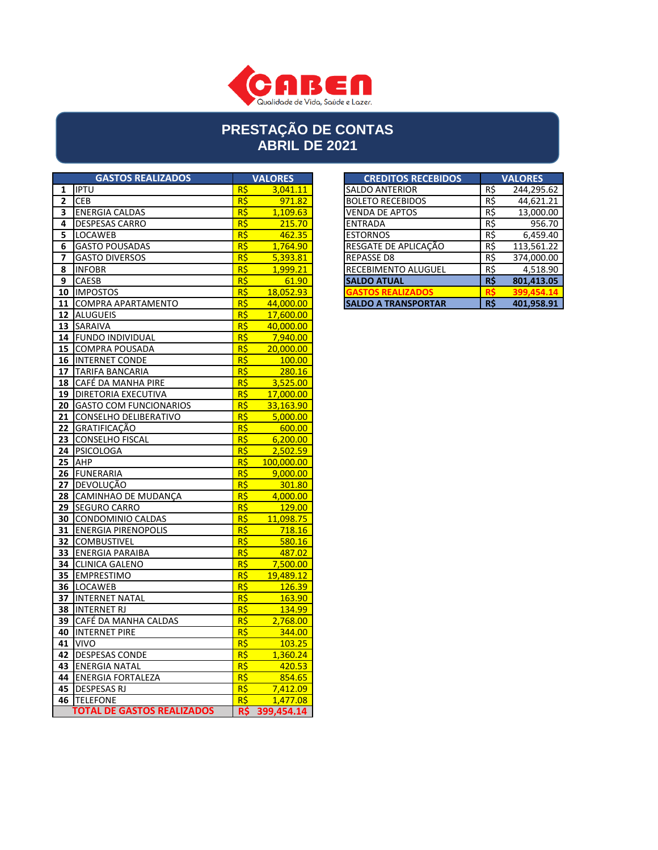

# **PRESTAÇÃO DE CONTAS ABRIL DE 2021**

|                | <b>GASTOS REALIZADOS</b>          |                 | <b>VALORES</b> | <b>CREDITOS RECEBIDOS</b>  |                 | <b>VALORES</b> |
|----------------|-----------------------------------|-----------------|----------------|----------------------------|-----------------|----------------|
| 1              | <b>IIPTU</b>                      | R\$             | 3,041.11       | <b>SALDO ANTERIOR</b>      | R\$             | 244,295.62     |
| $\overline{2}$ | <b>CEB</b>                        | $R\frac{2}{3}$  | 971.82         | <b>BOLETO RECEBIDOS</b>    | $R\overline{S}$ | 44,621.21      |
| 3              | <b>ENERGIA CALDAS</b>             | $R\frac{2}{3}$  | 1,109.63       | <b>VENDA DE APTOS</b>      | $R\zeta$        | 13,000.00      |
| 4              | <b>DESPESAS CARRO</b>             | R\$             | 215.70         | <b>ENTRADA</b>             | $R\overline{S}$ | 956.70         |
| 5              | <b>LOCAWEB</b>                    | R\$             | 462.35         | <b>ESTORNOS</b>            | R\$             | 6,459.40       |
| 6              | <b>GASTO POUSADAS</b>             | $R\frac{2}{3}$  | 1,764.90       | RESGATE DE APLICAÇÃO       | $R\overline{S}$ | 113,561.22     |
| 7              | <b>GASTO DIVERSOS</b>             | R\$             | 5,393.81       | REPASSE D8                 | R\$             | 374,000.00     |
| 8              | <b>INFOBR</b>                     | R\$             | 1,999.21       | <b>RECEBIMENTO ALUGUEL</b> | R\$             | 4,518.90       |
| 9              | CAESB                             | R\$             | 61.90          | <b>SALDO ATUAL</b>         | R\$             | 801,413.05     |
|                | 10 IMPOSTOS                       | $R\frac{2}{3}$  | 18,052.93      | <b>GASTOS REALIZADOS</b>   | R\$             | 399,454.14     |
|                | 11 COMPRA APARTAMENTO             | R\$             | 44,000.00      | <b>SALDO A TRANSPORTAR</b> | $R\overline{S}$ | 401,958.91     |
|                | 12 ALUGUEIS                       | R\$             | 17,600.00      |                            |                 |                |
|                | 13 SARAIVA                        | R\$             | 40,000.00      |                            |                 |                |
|                | 14 FUNDO INDIVIDUAL               | R\$             | 7,940.00       |                            |                 |                |
|                | 15 COMPRA POUSADA                 | $R\frac{1}{2}$  | 20,000.00      |                            |                 |                |
|                | <b>16 INTERNET CONDE</b>          | $R\overline{S}$ | 100.00         |                            |                 |                |
|                | 17 TARIFA BANCARIA                | R\$             | 280.16         |                            |                 |                |
|                | 18 CAFÉ DA MANHA PIRE             | $R\overline{S}$ | 3,525.00       |                            |                 |                |
|                | 19   DIRETORIA EXECUTIVA          | $R\frac{2}{3}$  | 17,000.00      |                            |                 |                |
|                | <b>20 GASTO COM FUNCIONARIOS</b>  | $R\frac{2}{3}$  | 33,163.90      |                            |                 |                |
|                | 21 CONSELHO DELIBERATIVO          | R\$             | 5,000.00       |                            |                 |                |
|                | 22 GRATIFICAÇÃO                   | $R\frac{2}{3}$  | 600.00         |                            |                 |                |
|                | 23 CONSELHO FISCAL                | $R\frac{2}{3}$  | 6,200.00       |                            |                 |                |
|                | 24 PSICOLOGA                      | $R\frac{2}{3}$  | 2,502.59       |                            |                 |                |
|                | <b>25 AHP</b>                     | $R\overline{S}$ | 100,000.00     |                            |                 |                |
|                | 26 FUNERARIA                      | R\$             | 9,000.00       |                            |                 |                |
|                | 27 DEVOLUÇÃO                      | R\$             | 301.80         |                            |                 |                |
|                | 28 CAMINHAO DE MUDANÇA            | $R\frac{2}{3}$  | 4,000.00       |                            |                 |                |
|                | 29 SEGURO CARRO                   | $R\frac{1}{2}$  | 129.00         |                            |                 |                |
|                | <b>30 CONDOMINIO CALDAS</b>       | R\$             | 11,098.75      |                            |                 |                |
|                | <b>31 ENERGIA PIRENOPOLIS</b>     | R\$             | 718.16         |                            |                 |                |
|                | 32 COMBUSTIVEL                    | $R\frac{2}{3}$  | 580.16         |                            |                 |                |
|                | <b>33 ENERGIA PARAIBA</b>         | $R\frac{1}{2}$  | 487.02         |                            |                 |                |
|                | <b>34 CLINICA GALENO</b>          | $R\frac{2}{3}$  | 7,500.00       |                            |                 |                |
|                | 35 EMPRESTIMO                     | R\$             | 19,489.12      |                            |                 |                |
|                | 36 LOCAWEB                        | $R\overline{S}$ | 126.39         |                            |                 |                |
|                | <b>37 INTERNET NATAL</b>          | $R\frac{2}{3}$  | 163.90         |                            |                 |                |
|                | 38 INTERNET RJ                    | $R\frac{2}{3}$  | 134.99         |                            |                 |                |
|                | 39 CAFÉ DA MANHA CALDAS           | R\$             | 2,768.00       |                            |                 |                |
|                | <b>40 INTERNET PIRE</b>           | R\$             | 344.00         |                            |                 |                |
|                | <b>41 VIVO</b>                    | $R\frac{2}{3}$  | 103.25         |                            |                 |                |
|                | 42 DESPESAS CONDE                 | $R\frac{2}{3}$  | 1,360.24       |                            |                 |                |
|                | 43 ENERGIA NATAL                  | R\$             | 420.53         |                            |                 |                |
|                | 44 ENERGIA FORTALEZA              | $R\frac{1}{2}$  | 854.65         |                            |                 |                |
|                | 45 DESPESAS RJ                    | R\$             | 7,412.09       |                            |                 |                |
|                | 46 TELEFONE                       | R\$             | 1,477.08       |                            |                 |                |
|                | <b>TOTAL DE GASTOS REALIZADOS</b> |                 | R\$ 399,454.14 |                            |                 |                |

| <b>VALORES</b> | <b>CREDITOS RECEBIDOS</b>  |     | <b>VALORES</b> |
|----------------|----------------------------|-----|----------------|
| 3,041.11       | <b>SALDO ANTERIOR</b>      | R\$ | 244,295.62     |
| 971.82         | <b>BOLETO RECEBIDOS</b>    | R\$ | 44,621.21      |
| 1,109.63       | <b>VENDA DE APTOS</b>      | R\$ | 13,000.00      |
| 215.70         | <b>ENTRADA</b>             | R\$ | 956.70         |
| 462.35         | <b>ESTORNOS</b>            | R\$ | 6,459.40       |
| 1,764.90       | RESGATE DE APLICAÇÃO       | R\$ | 113,561.22     |
| 5,393.81       | <b>REPASSE D8</b>          | R\$ | 374,000.00     |
| 1,999.21       | <b>RECEBIMENTO ALUGUEL</b> | R\$ | 4,518.90       |
| 61.90          | <b>SALDO ATUAL</b>         | R\$ | 801,413.05     |
| 18,052.93      | <b>SASTOS REALIZADOS</b>   |     | 399.454.14     |
| 44,000.00      | <b>SALDO A TRANSPORTAR</b> | R\$ | 401,958.91     |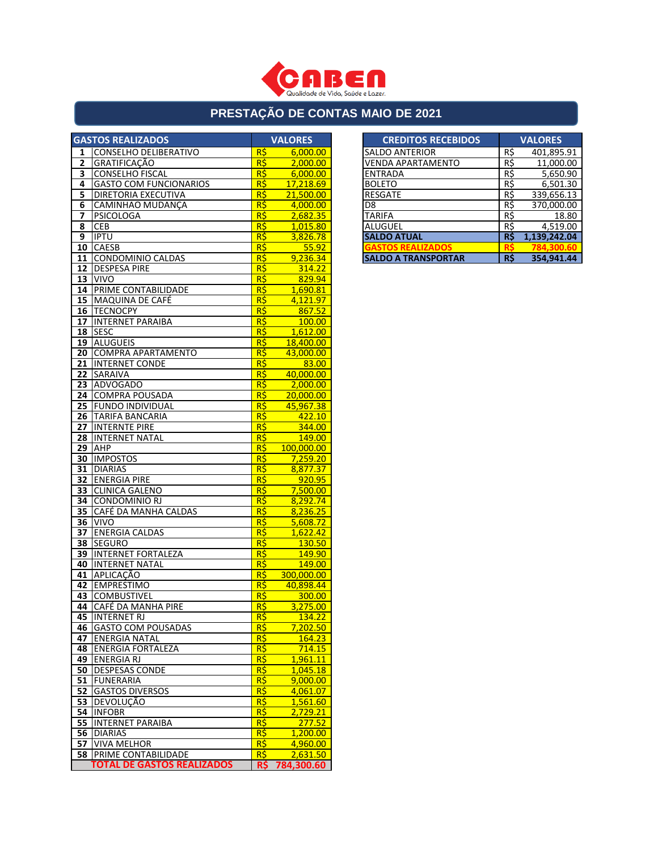

# **PRESTAÇÃO DE CONTAS MAIO DE 2021**

|    | <b>GASTOS REALIZADOS</b>                          |                 | <b>VALORES</b>          | <b>CREDITOS RECEBIDOS</b>  |                 | <b>VALORES</b> |
|----|---------------------------------------------------|-----------------|-------------------------|----------------------------|-----------------|----------------|
| 1  | <b>CONSELHO DELIBERATIVO</b>                      | $R\zeta$        | 6,000.00                | <b>SALDO ANTERIOR</b>      | R\$             | 401,895.91     |
| 2  | GRATIFICAÇÃO                                      | R\$             | 2,000.00                | <b>VENDA APARTAMENTO</b>   | R\$             | 11,000.00      |
| 3  | <b>CONSELHO FISCAL</b>                            | R\$             | 6,000.00                | <b>ENTRADA</b>             | R\$             | 5,650.90       |
| 4  | <b>GASTO COM FUNCIONARIOS</b>                     | R\$             | 17,218.69               | <b>BOLETO</b>              | $R\zeta$        | 6,501.30       |
| 5  | DIRETORIA EXECUTIVA                               | $R\zeta$        | 21,500.00               | <b>RESGATE</b>             | $R\zeta$        | 339,656.13     |
| 6  | CAMINHAO MUDANÇA                                  | R\$             | 4,000.00                | D8                         | $R\overline{S}$ | 370,000.00     |
| 7  | <b>PSICOLOGA</b>                                  | R\$             | 2,682.35                | <b>TARIFA</b>              | R\$             | 18.80          |
| 8  | <b>CEB</b>                                        | $R\zeta$        | 1,015.80                | <b>ALUGUEL</b>             | $R\overline{S}$ | 4,519.00       |
| 9  | <b>IPTU</b>                                       | $R\zeta$        | 3,826.78                | <b>SALDO ATUAL</b>         | R\$             | 1,139,242.04   |
|    | 10 CAESB                                          | R\$             | 55.92                   | <b>GASTOS REALIZADOS</b>   | <b>RS</b>       | 784.300.60     |
|    | 11 CONDOMINIO CALDAS                              | R\$             | 9,236.34                | <b>SALDO A TRANSPORTAR</b> | $R\frac{2}{3}$  | 354,941.44     |
|    | 12 DESPESA PIRE                                   | $R\zeta$        | 314.22                  |                            |                 |                |
|    | 13 IVIVO                                          | R\$             | 829.94                  |                            |                 |                |
|    | <b>14 PRIME CONTABILIDADE</b>                     | R\$             | 1,690.81                |                            |                 |                |
|    | <b>15 MAQUINA DE CAFÉ</b>                         | R\$             | 4,121.97                |                            |                 |                |
|    | 16 TECNOCPY                                       | R\$             | 867.52                  |                            |                 |                |
|    | 17 INTERNET PARAIBA                               | R\$             | 100.00                  |                            |                 |                |
|    | 18 SESC                                           | R\$             | 1,612.00                |                            |                 |                |
|    | 19 ALUGUEIS                                       | R\$             | 18.400.00               |                            |                 |                |
|    | 20 COMPRA APARTAMENTO                             | R\$             | 43,000.00               |                            |                 |                |
| 21 | <b>INTERNET CONDE</b>                             | R\$             | 83.00                   |                            |                 |                |
|    | 22 SARAIVA                                        | R\$             | 40,000.00               |                            |                 |                |
|    | 23 ADVOGADO                                       | R\$             | 2.000.00                |                            |                 |                |
|    | 24 COMPRA POUSADA                                 | R\$             | 20,000.00               |                            |                 |                |
|    | 25 FUNDO INDIVIDUAL                               | R\$             | 45,967.38               |                            |                 |                |
|    | 26 TARIFA BANCARIA                                | R\$             | 422.10                  |                            |                 |                |
|    | 27 INTERNTE PIRE                                  | $R\zeta$        | 344.00                  |                            |                 |                |
|    | 28 INTERNET NATAL                                 | R\$             | 149.00                  |                            |                 |                |
|    | <b>29 AHP</b>                                     | R\$             | 100,000.00              |                            |                 |                |
|    | 30 IMPOSTOS                                       | R\$             | 7,259.20                |                            |                 |                |
|    | 31 DIARIAS                                        | R\$             | 8,877.37                |                            |                 |                |
|    | 32 ENERGIA PIRE                                   | R\$             | 920.95                  |                            |                 |                |
|    | 33 CLINICA GALENO                                 | $R\zeta$        | 7,500.00                |                            |                 |                |
|    | 34 CONDOMINIO RJ                                  | $R\zeta$        | 8,292.74                |                            |                 |                |
|    | 35 CAFÉ DA MANHA CALDAS                           | R\$             | 8,236.25                |                            |                 |                |
|    | <b>36 VIVO</b>                                    | R\$             | 5,608.72                |                            |                 |                |
|    | <b>37 ENERGIA CALDAS</b>                          | R\$             | 1,622.42                |                            |                 |                |
|    | <b>38 ISEGURO</b><br><b>39 INTERNET FORTALEZA</b> | R\$             | 130.50<br>149.90        |                            |                 |                |
|    |                                                   | R\$<br>$R\zeta$ | 149.00                  |                            |                 |                |
|    | 40 INTERNET NATAL                                 | R\$             |                         |                            |                 |                |
|    | 41 APLICAÇÃO<br>42 EMPRESTIMO                     |                 | 300,000.00<br>40.898.44 |                            |                 |                |
|    | 43 COMBUSTIVEL                                    | R\$<br>R\$      | 300.00                  |                            |                 |                |
|    | 44 CAFÉ DA MANHA PIRE                             | R\$             | 3,275.00                |                            |                 |                |
|    | 45 INTERNET RJ                                    | R\$             | 134.22                  |                            |                 |                |
|    | 46 GASTO COM POUSADAS                             | R\$             | 7,202.50                |                            |                 |                |
|    | 47 ENERGIA NATAL                                  | R\$             | 164.23                  |                            |                 |                |
|    | <b>48 ENERGIA FORTALEZA</b>                       | R\$             | 714.15                  |                            |                 |                |
|    | 49 ENERGIA RJ                                     | R\$             | 1.961.11                |                            |                 |                |
|    | 50 DESPESAS CONDE                                 | R\$             | 1,045.18                |                            |                 |                |
|    | 51 FUNERARIA                                      | R\$             | 9,000.00                |                            |                 |                |
|    | <b>52 GASTOS DIVERSOS</b>                         | R\$             | 4.061.07                |                            |                 |                |
|    | 53 DEVOLUÇÃO                                      | R\$             | 1,561.60                |                            |                 |                |
|    | 54 INFOBR                                         | R\$             | 2,729.21                |                            |                 |                |
|    | <b>55 INTERNET PARAIBA</b>                        | R\$             | 277.52                  |                            |                 |                |
|    | 56 DIARIAS                                        | R\$             | 1,200.00                |                            |                 |                |
|    | 57 VIVA MELHOR                                    | R\$             | 4,960.00                |                            |                 |                |
|    | <b>58 PRIME CONTABILIDADE</b>                     | R\$             | 2,631.50                |                            |                 |                |
|    | <b>TOTAL DE GASTOS REALIZADOS</b>                 |                 | R\$ 784,300.60          |                            |                 |                |
|    |                                                   |                 |                         |                            |                 |                |

| <b>CREDITOS RECEBIDOS</b>  |           | <b>VALORES</b> |
|----------------------------|-----------|----------------|
| <b>SALDO ANTERIOR</b>      | R\$       | 401,895.91     |
| <b>VENDA APARTAMENTO</b>   | R\$       | 11,000.00      |
| <b>ENTRADA</b>             | R\$       | 5,650.90       |
| <b>BOLETO</b>              | R\$       | 6,501.30       |
| <b>RESGATE</b>             | R\$       | 339,656.13     |
| D <sub>8</sub>             | R\$       | 370,000.00     |
| <b>TARIFA</b>              | R\$       | 18.80          |
| <b>ALUGUEL</b>             | R\$       | 4,519.00       |
| <b>SALDO ATUAL</b>         | <b>RŚ</b> | 1,139,242.04   |
| <b>GASTOS REALIZADOS</b>   |           | 784.300.60     |
| <b>SALDO A TRANSPORTAR</b> | <b>RŚ</b> | 354.941.44     |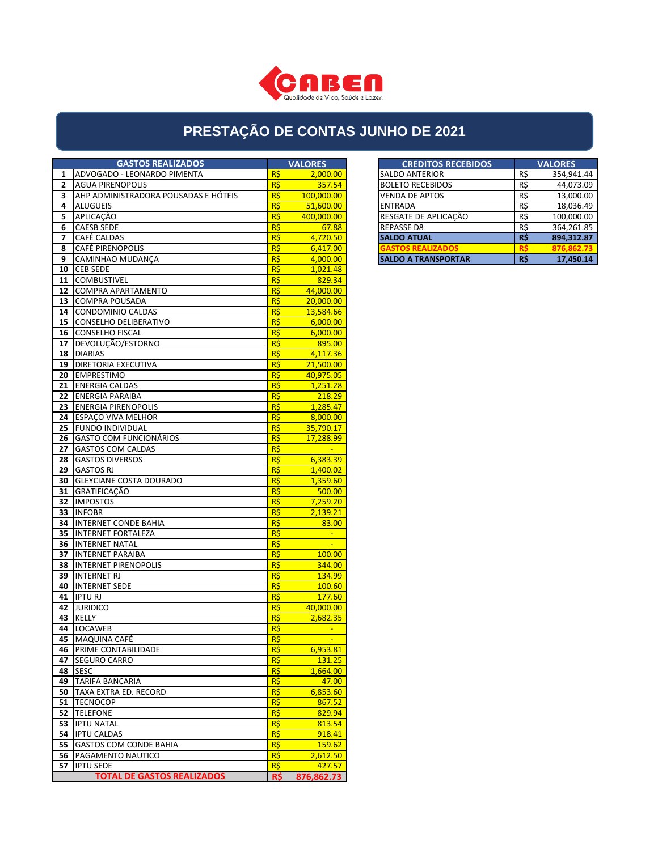

# **PRESTAÇÃO DE CONTAS JUNHO DE 2021**

| R\$<br>SALDO ANTERIOR<br>R\$<br>ADVOGADO - LEONARDO PIMENTA<br>2,000.00<br>354,941.44<br>1<br>$R\frac{1}{2}$<br>R\$<br>357.54<br><b>AGUA PIRENOPOLIS</b><br><b>BOLETO RECEBIDOS</b><br>44,073.09<br>2<br>$R\frac{2}{3}$<br>AHP ADMINISTRADORA POUSADAS E HÓTEIS<br>$R\frac{1}{2}$<br>3<br>100,000.00<br><b>VENDA DE APTOS</b><br>13,000.00<br>$R\frac{1}{2}$<br>R\$<br><b>ALUGUEIS</b><br>51,600.00<br><b>ENTRADA</b><br>18,036.49<br>4<br>APLICAÇÃO<br>R\$<br>R\$<br>400,000.00<br>RESGATE DE APLICAÇÃO<br>100,000.00<br>5<br><b>CAESB SEDE</b><br>R\$<br>R\$<br>67.88<br>REPASSE D8<br>364,261.85<br>6<br>R\$<br>4,720.50<br>R\$<br>CAFÉ CALDAS<br><b>SALDO ATUAL</b><br>894,312.87<br>7<br>$R\frac{2}{3}$<br><b>CAFÉ PIRENOPOLIS</b><br>6,417.00<br><b>GASTOS REALIZADOS</b><br>8<br>R\$<br>876,862.73<br>R\$<br>R\$<br>CAMINHAO MUDANÇA<br>4,000.00<br><b>SALDO A TRANSPORTAR</b><br>17,450.14<br>9<br>$R\frac{4}{3}$<br><b>CEB SEDE</b><br>1,021.48<br>10<br>$R\frac{4}{3}$<br>829.34<br><b>COMBUSTIVEL</b><br>11<br>R\$<br><b>COMPRA APARTAMENTO</b><br>44,000.00<br>12<br>$R\frac{2}{3}$<br><b>COMPRA POUSADA</b><br>20,000.00<br>13<br>R\$<br>CONDOMINIO CALDAS<br>13,584.66<br>14<br>R\$<br>6,000.00<br>CONSELHO DELIBERATIVO<br>15<br>$R\frac{2}{3}$<br>6,000.00<br><b>CONSELHO FISCAL</b><br>16<br>DEVOLUÇÃO/ESTORNO<br>$R\frac{1}{2}$<br>895.00<br>17<br>$R\frac{4}{3}$<br>4,117.36<br>18 DIARIAS<br>$R\frac{2}{3}$<br><b>DIRETORIA EXECUTIVA</b><br>21,500.00<br>19<br>R\$<br><b>EMPRESTIMO</b><br>40,975.05<br>20<br>R\$<br><b>ENERGIA CALDAS</b><br>1,251.28<br>21<br>R\$<br><b>ENERGIA PARAIBA</b><br>218.29<br>22<br>$R\frac{2}{3}$<br><b>ENERGIA PIRENOPOLIS</b><br>1,285.47<br>23<br>$R\frac{2}{3}$<br><b>ESPAÇO VIVA MELHOR</b><br>8,000.00<br>24<br>R\$<br>25<br><b>FUNDO INDIVIDUAL</b><br>35,790.17<br>R\$<br>GASTO COM FUNCIONÁRIOS<br>17,288.99<br>26<br>R\$<br><b>GASTOS COM CALDAS</b><br>27<br>$\blacksquare$<br><b>GASTOS DIVERSOS</b><br>R\$<br>6,383.39<br>28<br>$R\frac{2}{3}$<br><b>GASTOS RJ</b><br>1,400.02<br>29<br>$R\frac{2}{3}$<br>1,359.60<br><b>GLEYCIANE COSTA DOURADO</b><br>30<br><b>GRATIFICAÇÃO</b><br>R\$<br>31<br>500.00<br>R\$<br><b>IMPOSTOS</b><br>7,259.20<br>32<br>R\$<br><b>INFOBR</b><br>2,139.21<br>33<br>R\$<br><b>INTERNET CONDE BAHIA</b><br>83.00<br>34<br>R\$<br><b>INTERNET FORTALEZA</b><br>35<br>$\blacksquare$<br>R\$<br>$\sim$<br><b>INTERNET NATAL</b><br>36<br>R\$<br><b>INTERNET PARAIBA</b><br>100.00<br>37<br>R\$<br><b>INTERNET PIRENOPOLIS</b><br>344.00<br>38<br>R\$<br>134.99<br><b>INTERNET RJ</b><br>39<br>$R\frac{2}{3}$<br>100.60<br><b>INTERNET SEDE</b><br>40<br>$R\frac{2}{3}$<br>177.60<br><b>IPTURJ</b><br>41<br><b>JURIDICO</b><br>$R\frac{1}{2}$<br>40,000.00<br>42<br>R\$<br><b>KELLY</b><br>2,682.35<br>43<br>$R\frac{4}{3}$<br><b>LOCAWEB</b><br>44<br>$\sim$<br>45 MAQUINA CAFE<br>R\$<br>$\sim$ 10 $\pm$<br>R\$<br>6,953.81<br>46 PRIME CONTABILIDADE<br>R\$<br>131.25<br>47 SEGURO CARRO<br>48 SESC<br>R\$<br>1,664.00<br>49 TARIFA BANCARIA<br>R\$<br>47.00<br>R\$<br>6,853.60<br><b>50   TAXA EXTRA ED. RECORD</b><br>51 TECNOCOP<br>R\$<br>867.52<br>$R\frac{2}{3}$<br>829.94<br>52 TELEFONE<br>53 <b>IPTU NATAL</b><br>R\$<br>813.54<br>$R\frac{2}{3}$<br>54 IPTU CALDAS<br>918.41<br>$R\frac{4}{3}$<br>159.62<br><b>55 GASTOS COM CONDE BAHIA</b><br><b>56 PAGAMENTO NAUTICO</b><br>R\$<br>2,612.50<br>$R\frac{2}{3}$<br>57 <b>IPTU SEDE</b><br>427.57 | <b>GASTOS REALIZADOS</b>          |     | <b>VALORES</b> | <b>CREDITOS RECEBIDOS</b> | <b>VALORES</b> |
|---------------------------------------------------------------------------------------------------------------------------------------------------------------------------------------------------------------------------------------------------------------------------------------------------------------------------------------------------------------------------------------------------------------------------------------------------------------------------------------------------------------------------------------------------------------------------------------------------------------------------------------------------------------------------------------------------------------------------------------------------------------------------------------------------------------------------------------------------------------------------------------------------------------------------------------------------------------------------------------------------------------------------------------------------------------------------------------------------------------------------------------------------------------------------------------------------------------------------------------------------------------------------------------------------------------------------------------------------------------------------------------------------------------------------------------------------------------------------------------------------------------------------------------------------------------------------------------------------------------------------------------------------------------------------------------------------------------------------------------------------------------------------------------------------------------------------------------------------------------------------------------------------------------------------------------------------------------------------------------------------------------------------------------------------------------------------------------------------------------------------------------------------------------------------------------------------------------------------------------------------------------------------------------------------------------------------------------------------------------------------------------------------------------------------------------------------------------------------------------------------------------------------------------------------------------------------------------------------------------------------------------------------------------------------------------------------------------------------------------------------------------------------------------------------------------------------------------------------------------------------------------------------------------------------------------------------------------------------------------------------------------------------------------------------------------------------------------------------------------------------------------------------------------------------------------------------------------------------------------------------------------------------------------------------------------------------------------------------------------------------------------------------------------------------------------------------------|-----------------------------------|-----|----------------|---------------------------|----------------|
|                                                                                                                                                                                                                                                                                                                                                                                                                                                                                                                                                                                                                                                                                                                                                                                                                                                                                                                                                                                                                                                                                                                                                                                                                                                                                                                                                                                                                                                                                                                                                                                                                                                                                                                                                                                                                                                                                                                                                                                                                                                                                                                                                                                                                                                                                                                                                                                                                                                                                                                                                                                                                                                                                                                                                                                                                                                                                                                                                                                                                                                                                                                                                                                                                                                                                                                                                                                                                                                         |                                   |     |                |                           |                |
|                                                                                                                                                                                                                                                                                                                                                                                                                                                                                                                                                                                                                                                                                                                                                                                                                                                                                                                                                                                                                                                                                                                                                                                                                                                                                                                                                                                                                                                                                                                                                                                                                                                                                                                                                                                                                                                                                                                                                                                                                                                                                                                                                                                                                                                                                                                                                                                                                                                                                                                                                                                                                                                                                                                                                                                                                                                                                                                                                                                                                                                                                                                                                                                                                                                                                                                                                                                                                                                         |                                   |     |                |                           |                |
|                                                                                                                                                                                                                                                                                                                                                                                                                                                                                                                                                                                                                                                                                                                                                                                                                                                                                                                                                                                                                                                                                                                                                                                                                                                                                                                                                                                                                                                                                                                                                                                                                                                                                                                                                                                                                                                                                                                                                                                                                                                                                                                                                                                                                                                                                                                                                                                                                                                                                                                                                                                                                                                                                                                                                                                                                                                                                                                                                                                                                                                                                                                                                                                                                                                                                                                                                                                                                                                         |                                   |     |                |                           |                |
|                                                                                                                                                                                                                                                                                                                                                                                                                                                                                                                                                                                                                                                                                                                                                                                                                                                                                                                                                                                                                                                                                                                                                                                                                                                                                                                                                                                                                                                                                                                                                                                                                                                                                                                                                                                                                                                                                                                                                                                                                                                                                                                                                                                                                                                                                                                                                                                                                                                                                                                                                                                                                                                                                                                                                                                                                                                                                                                                                                                                                                                                                                                                                                                                                                                                                                                                                                                                                                                         |                                   |     |                |                           |                |
|                                                                                                                                                                                                                                                                                                                                                                                                                                                                                                                                                                                                                                                                                                                                                                                                                                                                                                                                                                                                                                                                                                                                                                                                                                                                                                                                                                                                                                                                                                                                                                                                                                                                                                                                                                                                                                                                                                                                                                                                                                                                                                                                                                                                                                                                                                                                                                                                                                                                                                                                                                                                                                                                                                                                                                                                                                                                                                                                                                                                                                                                                                                                                                                                                                                                                                                                                                                                                                                         |                                   |     |                |                           |                |
|                                                                                                                                                                                                                                                                                                                                                                                                                                                                                                                                                                                                                                                                                                                                                                                                                                                                                                                                                                                                                                                                                                                                                                                                                                                                                                                                                                                                                                                                                                                                                                                                                                                                                                                                                                                                                                                                                                                                                                                                                                                                                                                                                                                                                                                                                                                                                                                                                                                                                                                                                                                                                                                                                                                                                                                                                                                                                                                                                                                                                                                                                                                                                                                                                                                                                                                                                                                                                                                         |                                   |     |                |                           |                |
|                                                                                                                                                                                                                                                                                                                                                                                                                                                                                                                                                                                                                                                                                                                                                                                                                                                                                                                                                                                                                                                                                                                                                                                                                                                                                                                                                                                                                                                                                                                                                                                                                                                                                                                                                                                                                                                                                                                                                                                                                                                                                                                                                                                                                                                                                                                                                                                                                                                                                                                                                                                                                                                                                                                                                                                                                                                                                                                                                                                                                                                                                                                                                                                                                                                                                                                                                                                                                                                         |                                   |     |                |                           |                |
|                                                                                                                                                                                                                                                                                                                                                                                                                                                                                                                                                                                                                                                                                                                                                                                                                                                                                                                                                                                                                                                                                                                                                                                                                                                                                                                                                                                                                                                                                                                                                                                                                                                                                                                                                                                                                                                                                                                                                                                                                                                                                                                                                                                                                                                                                                                                                                                                                                                                                                                                                                                                                                                                                                                                                                                                                                                                                                                                                                                                                                                                                                                                                                                                                                                                                                                                                                                                                                                         |                                   |     |                |                           |                |
|                                                                                                                                                                                                                                                                                                                                                                                                                                                                                                                                                                                                                                                                                                                                                                                                                                                                                                                                                                                                                                                                                                                                                                                                                                                                                                                                                                                                                                                                                                                                                                                                                                                                                                                                                                                                                                                                                                                                                                                                                                                                                                                                                                                                                                                                                                                                                                                                                                                                                                                                                                                                                                                                                                                                                                                                                                                                                                                                                                                                                                                                                                                                                                                                                                                                                                                                                                                                                                                         |                                   |     |                |                           |                |
|                                                                                                                                                                                                                                                                                                                                                                                                                                                                                                                                                                                                                                                                                                                                                                                                                                                                                                                                                                                                                                                                                                                                                                                                                                                                                                                                                                                                                                                                                                                                                                                                                                                                                                                                                                                                                                                                                                                                                                                                                                                                                                                                                                                                                                                                                                                                                                                                                                                                                                                                                                                                                                                                                                                                                                                                                                                                                                                                                                                                                                                                                                                                                                                                                                                                                                                                                                                                                                                         |                                   |     |                |                           |                |
|                                                                                                                                                                                                                                                                                                                                                                                                                                                                                                                                                                                                                                                                                                                                                                                                                                                                                                                                                                                                                                                                                                                                                                                                                                                                                                                                                                                                                                                                                                                                                                                                                                                                                                                                                                                                                                                                                                                                                                                                                                                                                                                                                                                                                                                                                                                                                                                                                                                                                                                                                                                                                                                                                                                                                                                                                                                                                                                                                                                                                                                                                                                                                                                                                                                                                                                                                                                                                                                         |                                   |     |                |                           |                |
|                                                                                                                                                                                                                                                                                                                                                                                                                                                                                                                                                                                                                                                                                                                                                                                                                                                                                                                                                                                                                                                                                                                                                                                                                                                                                                                                                                                                                                                                                                                                                                                                                                                                                                                                                                                                                                                                                                                                                                                                                                                                                                                                                                                                                                                                                                                                                                                                                                                                                                                                                                                                                                                                                                                                                                                                                                                                                                                                                                                                                                                                                                                                                                                                                                                                                                                                                                                                                                                         |                                   |     |                |                           |                |
|                                                                                                                                                                                                                                                                                                                                                                                                                                                                                                                                                                                                                                                                                                                                                                                                                                                                                                                                                                                                                                                                                                                                                                                                                                                                                                                                                                                                                                                                                                                                                                                                                                                                                                                                                                                                                                                                                                                                                                                                                                                                                                                                                                                                                                                                                                                                                                                                                                                                                                                                                                                                                                                                                                                                                                                                                                                                                                                                                                                                                                                                                                                                                                                                                                                                                                                                                                                                                                                         |                                   |     |                |                           |                |
|                                                                                                                                                                                                                                                                                                                                                                                                                                                                                                                                                                                                                                                                                                                                                                                                                                                                                                                                                                                                                                                                                                                                                                                                                                                                                                                                                                                                                                                                                                                                                                                                                                                                                                                                                                                                                                                                                                                                                                                                                                                                                                                                                                                                                                                                                                                                                                                                                                                                                                                                                                                                                                                                                                                                                                                                                                                                                                                                                                                                                                                                                                                                                                                                                                                                                                                                                                                                                                                         |                                   |     |                |                           |                |
|                                                                                                                                                                                                                                                                                                                                                                                                                                                                                                                                                                                                                                                                                                                                                                                                                                                                                                                                                                                                                                                                                                                                                                                                                                                                                                                                                                                                                                                                                                                                                                                                                                                                                                                                                                                                                                                                                                                                                                                                                                                                                                                                                                                                                                                                                                                                                                                                                                                                                                                                                                                                                                                                                                                                                                                                                                                                                                                                                                                                                                                                                                                                                                                                                                                                                                                                                                                                                                                         |                                   |     |                |                           |                |
|                                                                                                                                                                                                                                                                                                                                                                                                                                                                                                                                                                                                                                                                                                                                                                                                                                                                                                                                                                                                                                                                                                                                                                                                                                                                                                                                                                                                                                                                                                                                                                                                                                                                                                                                                                                                                                                                                                                                                                                                                                                                                                                                                                                                                                                                                                                                                                                                                                                                                                                                                                                                                                                                                                                                                                                                                                                                                                                                                                                                                                                                                                                                                                                                                                                                                                                                                                                                                                                         |                                   |     |                |                           |                |
|                                                                                                                                                                                                                                                                                                                                                                                                                                                                                                                                                                                                                                                                                                                                                                                                                                                                                                                                                                                                                                                                                                                                                                                                                                                                                                                                                                                                                                                                                                                                                                                                                                                                                                                                                                                                                                                                                                                                                                                                                                                                                                                                                                                                                                                                                                                                                                                                                                                                                                                                                                                                                                                                                                                                                                                                                                                                                                                                                                                                                                                                                                                                                                                                                                                                                                                                                                                                                                                         |                                   |     |                |                           |                |
|                                                                                                                                                                                                                                                                                                                                                                                                                                                                                                                                                                                                                                                                                                                                                                                                                                                                                                                                                                                                                                                                                                                                                                                                                                                                                                                                                                                                                                                                                                                                                                                                                                                                                                                                                                                                                                                                                                                                                                                                                                                                                                                                                                                                                                                                                                                                                                                                                                                                                                                                                                                                                                                                                                                                                                                                                                                                                                                                                                                                                                                                                                                                                                                                                                                                                                                                                                                                                                                         |                                   |     |                |                           |                |
|                                                                                                                                                                                                                                                                                                                                                                                                                                                                                                                                                                                                                                                                                                                                                                                                                                                                                                                                                                                                                                                                                                                                                                                                                                                                                                                                                                                                                                                                                                                                                                                                                                                                                                                                                                                                                                                                                                                                                                                                                                                                                                                                                                                                                                                                                                                                                                                                                                                                                                                                                                                                                                                                                                                                                                                                                                                                                                                                                                                                                                                                                                                                                                                                                                                                                                                                                                                                                                                         |                                   |     |                |                           |                |
|                                                                                                                                                                                                                                                                                                                                                                                                                                                                                                                                                                                                                                                                                                                                                                                                                                                                                                                                                                                                                                                                                                                                                                                                                                                                                                                                                                                                                                                                                                                                                                                                                                                                                                                                                                                                                                                                                                                                                                                                                                                                                                                                                                                                                                                                                                                                                                                                                                                                                                                                                                                                                                                                                                                                                                                                                                                                                                                                                                                                                                                                                                                                                                                                                                                                                                                                                                                                                                                         |                                   |     |                |                           |                |
|                                                                                                                                                                                                                                                                                                                                                                                                                                                                                                                                                                                                                                                                                                                                                                                                                                                                                                                                                                                                                                                                                                                                                                                                                                                                                                                                                                                                                                                                                                                                                                                                                                                                                                                                                                                                                                                                                                                                                                                                                                                                                                                                                                                                                                                                                                                                                                                                                                                                                                                                                                                                                                                                                                                                                                                                                                                                                                                                                                                                                                                                                                                                                                                                                                                                                                                                                                                                                                                         |                                   |     |                |                           |                |
|                                                                                                                                                                                                                                                                                                                                                                                                                                                                                                                                                                                                                                                                                                                                                                                                                                                                                                                                                                                                                                                                                                                                                                                                                                                                                                                                                                                                                                                                                                                                                                                                                                                                                                                                                                                                                                                                                                                                                                                                                                                                                                                                                                                                                                                                                                                                                                                                                                                                                                                                                                                                                                                                                                                                                                                                                                                                                                                                                                                                                                                                                                                                                                                                                                                                                                                                                                                                                                                         |                                   |     |                |                           |                |
|                                                                                                                                                                                                                                                                                                                                                                                                                                                                                                                                                                                                                                                                                                                                                                                                                                                                                                                                                                                                                                                                                                                                                                                                                                                                                                                                                                                                                                                                                                                                                                                                                                                                                                                                                                                                                                                                                                                                                                                                                                                                                                                                                                                                                                                                                                                                                                                                                                                                                                                                                                                                                                                                                                                                                                                                                                                                                                                                                                                                                                                                                                                                                                                                                                                                                                                                                                                                                                                         |                                   |     |                |                           |                |
|                                                                                                                                                                                                                                                                                                                                                                                                                                                                                                                                                                                                                                                                                                                                                                                                                                                                                                                                                                                                                                                                                                                                                                                                                                                                                                                                                                                                                                                                                                                                                                                                                                                                                                                                                                                                                                                                                                                                                                                                                                                                                                                                                                                                                                                                                                                                                                                                                                                                                                                                                                                                                                                                                                                                                                                                                                                                                                                                                                                                                                                                                                                                                                                                                                                                                                                                                                                                                                                         |                                   |     |                |                           |                |
|                                                                                                                                                                                                                                                                                                                                                                                                                                                                                                                                                                                                                                                                                                                                                                                                                                                                                                                                                                                                                                                                                                                                                                                                                                                                                                                                                                                                                                                                                                                                                                                                                                                                                                                                                                                                                                                                                                                                                                                                                                                                                                                                                                                                                                                                                                                                                                                                                                                                                                                                                                                                                                                                                                                                                                                                                                                                                                                                                                                                                                                                                                                                                                                                                                                                                                                                                                                                                                                         |                                   |     |                |                           |                |
|                                                                                                                                                                                                                                                                                                                                                                                                                                                                                                                                                                                                                                                                                                                                                                                                                                                                                                                                                                                                                                                                                                                                                                                                                                                                                                                                                                                                                                                                                                                                                                                                                                                                                                                                                                                                                                                                                                                                                                                                                                                                                                                                                                                                                                                                                                                                                                                                                                                                                                                                                                                                                                                                                                                                                                                                                                                                                                                                                                                                                                                                                                                                                                                                                                                                                                                                                                                                                                                         |                                   |     |                |                           |                |
|                                                                                                                                                                                                                                                                                                                                                                                                                                                                                                                                                                                                                                                                                                                                                                                                                                                                                                                                                                                                                                                                                                                                                                                                                                                                                                                                                                                                                                                                                                                                                                                                                                                                                                                                                                                                                                                                                                                                                                                                                                                                                                                                                                                                                                                                                                                                                                                                                                                                                                                                                                                                                                                                                                                                                                                                                                                                                                                                                                                                                                                                                                                                                                                                                                                                                                                                                                                                                                                         |                                   |     |                |                           |                |
|                                                                                                                                                                                                                                                                                                                                                                                                                                                                                                                                                                                                                                                                                                                                                                                                                                                                                                                                                                                                                                                                                                                                                                                                                                                                                                                                                                                                                                                                                                                                                                                                                                                                                                                                                                                                                                                                                                                                                                                                                                                                                                                                                                                                                                                                                                                                                                                                                                                                                                                                                                                                                                                                                                                                                                                                                                                                                                                                                                                                                                                                                                                                                                                                                                                                                                                                                                                                                                                         |                                   |     |                |                           |                |
|                                                                                                                                                                                                                                                                                                                                                                                                                                                                                                                                                                                                                                                                                                                                                                                                                                                                                                                                                                                                                                                                                                                                                                                                                                                                                                                                                                                                                                                                                                                                                                                                                                                                                                                                                                                                                                                                                                                                                                                                                                                                                                                                                                                                                                                                                                                                                                                                                                                                                                                                                                                                                                                                                                                                                                                                                                                                                                                                                                                                                                                                                                                                                                                                                                                                                                                                                                                                                                                         |                                   |     |                |                           |                |
|                                                                                                                                                                                                                                                                                                                                                                                                                                                                                                                                                                                                                                                                                                                                                                                                                                                                                                                                                                                                                                                                                                                                                                                                                                                                                                                                                                                                                                                                                                                                                                                                                                                                                                                                                                                                                                                                                                                                                                                                                                                                                                                                                                                                                                                                                                                                                                                                                                                                                                                                                                                                                                                                                                                                                                                                                                                                                                                                                                                                                                                                                                                                                                                                                                                                                                                                                                                                                                                         |                                   |     |                |                           |                |
|                                                                                                                                                                                                                                                                                                                                                                                                                                                                                                                                                                                                                                                                                                                                                                                                                                                                                                                                                                                                                                                                                                                                                                                                                                                                                                                                                                                                                                                                                                                                                                                                                                                                                                                                                                                                                                                                                                                                                                                                                                                                                                                                                                                                                                                                                                                                                                                                                                                                                                                                                                                                                                                                                                                                                                                                                                                                                                                                                                                                                                                                                                                                                                                                                                                                                                                                                                                                                                                         |                                   |     |                |                           |                |
|                                                                                                                                                                                                                                                                                                                                                                                                                                                                                                                                                                                                                                                                                                                                                                                                                                                                                                                                                                                                                                                                                                                                                                                                                                                                                                                                                                                                                                                                                                                                                                                                                                                                                                                                                                                                                                                                                                                                                                                                                                                                                                                                                                                                                                                                                                                                                                                                                                                                                                                                                                                                                                                                                                                                                                                                                                                                                                                                                                                                                                                                                                                                                                                                                                                                                                                                                                                                                                                         |                                   |     |                |                           |                |
|                                                                                                                                                                                                                                                                                                                                                                                                                                                                                                                                                                                                                                                                                                                                                                                                                                                                                                                                                                                                                                                                                                                                                                                                                                                                                                                                                                                                                                                                                                                                                                                                                                                                                                                                                                                                                                                                                                                                                                                                                                                                                                                                                                                                                                                                                                                                                                                                                                                                                                                                                                                                                                                                                                                                                                                                                                                                                                                                                                                                                                                                                                                                                                                                                                                                                                                                                                                                                                                         |                                   |     |                |                           |                |
|                                                                                                                                                                                                                                                                                                                                                                                                                                                                                                                                                                                                                                                                                                                                                                                                                                                                                                                                                                                                                                                                                                                                                                                                                                                                                                                                                                                                                                                                                                                                                                                                                                                                                                                                                                                                                                                                                                                                                                                                                                                                                                                                                                                                                                                                                                                                                                                                                                                                                                                                                                                                                                                                                                                                                                                                                                                                                                                                                                                                                                                                                                                                                                                                                                                                                                                                                                                                                                                         |                                   |     |                |                           |                |
|                                                                                                                                                                                                                                                                                                                                                                                                                                                                                                                                                                                                                                                                                                                                                                                                                                                                                                                                                                                                                                                                                                                                                                                                                                                                                                                                                                                                                                                                                                                                                                                                                                                                                                                                                                                                                                                                                                                                                                                                                                                                                                                                                                                                                                                                                                                                                                                                                                                                                                                                                                                                                                                                                                                                                                                                                                                                                                                                                                                                                                                                                                                                                                                                                                                                                                                                                                                                                                                         |                                   |     |                |                           |                |
|                                                                                                                                                                                                                                                                                                                                                                                                                                                                                                                                                                                                                                                                                                                                                                                                                                                                                                                                                                                                                                                                                                                                                                                                                                                                                                                                                                                                                                                                                                                                                                                                                                                                                                                                                                                                                                                                                                                                                                                                                                                                                                                                                                                                                                                                                                                                                                                                                                                                                                                                                                                                                                                                                                                                                                                                                                                                                                                                                                                                                                                                                                                                                                                                                                                                                                                                                                                                                                                         |                                   |     |                |                           |                |
|                                                                                                                                                                                                                                                                                                                                                                                                                                                                                                                                                                                                                                                                                                                                                                                                                                                                                                                                                                                                                                                                                                                                                                                                                                                                                                                                                                                                                                                                                                                                                                                                                                                                                                                                                                                                                                                                                                                                                                                                                                                                                                                                                                                                                                                                                                                                                                                                                                                                                                                                                                                                                                                                                                                                                                                                                                                                                                                                                                                                                                                                                                                                                                                                                                                                                                                                                                                                                                                         |                                   |     |                |                           |                |
|                                                                                                                                                                                                                                                                                                                                                                                                                                                                                                                                                                                                                                                                                                                                                                                                                                                                                                                                                                                                                                                                                                                                                                                                                                                                                                                                                                                                                                                                                                                                                                                                                                                                                                                                                                                                                                                                                                                                                                                                                                                                                                                                                                                                                                                                                                                                                                                                                                                                                                                                                                                                                                                                                                                                                                                                                                                                                                                                                                                                                                                                                                                                                                                                                                                                                                                                                                                                                                                         |                                   |     |                |                           |                |
|                                                                                                                                                                                                                                                                                                                                                                                                                                                                                                                                                                                                                                                                                                                                                                                                                                                                                                                                                                                                                                                                                                                                                                                                                                                                                                                                                                                                                                                                                                                                                                                                                                                                                                                                                                                                                                                                                                                                                                                                                                                                                                                                                                                                                                                                                                                                                                                                                                                                                                                                                                                                                                                                                                                                                                                                                                                                                                                                                                                                                                                                                                                                                                                                                                                                                                                                                                                                                                                         |                                   |     |                |                           |                |
|                                                                                                                                                                                                                                                                                                                                                                                                                                                                                                                                                                                                                                                                                                                                                                                                                                                                                                                                                                                                                                                                                                                                                                                                                                                                                                                                                                                                                                                                                                                                                                                                                                                                                                                                                                                                                                                                                                                                                                                                                                                                                                                                                                                                                                                                                                                                                                                                                                                                                                                                                                                                                                                                                                                                                                                                                                                                                                                                                                                                                                                                                                                                                                                                                                                                                                                                                                                                                                                         |                                   |     |                |                           |                |
|                                                                                                                                                                                                                                                                                                                                                                                                                                                                                                                                                                                                                                                                                                                                                                                                                                                                                                                                                                                                                                                                                                                                                                                                                                                                                                                                                                                                                                                                                                                                                                                                                                                                                                                                                                                                                                                                                                                                                                                                                                                                                                                                                                                                                                                                                                                                                                                                                                                                                                                                                                                                                                                                                                                                                                                                                                                                                                                                                                                                                                                                                                                                                                                                                                                                                                                                                                                                                                                         |                                   |     |                |                           |                |
|                                                                                                                                                                                                                                                                                                                                                                                                                                                                                                                                                                                                                                                                                                                                                                                                                                                                                                                                                                                                                                                                                                                                                                                                                                                                                                                                                                                                                                                                                                                                                                                                                                                                                                                                                                                                                                                                                                                                                                                                                                                                                                                                                                                                                                                                                                                                                                                                                                                                                                                                                                                                                                                                                                                                                                                                                                                                                                                                                                                                                                                                                                                                                                                                                                                                                                                                                                                                                                                         |                                   |     |                |                           |                |
|                                                                                                                                                                                                                                                                                                                                                                                                                                                                                                                                                                                                                                                                                                                                                                                                                                                                                                                                                                                                                                                                                                                                                                                                                                                                                                                                                                                                                                                                                                                                                                                                                                                                                                                                                                                                                                                                                                                                                                                                                                                                                                                                                                                                                                                                                                                                                                                                                                                                                                                                                                                                                                                                                                                                                                                                                                                                                                                                                                                                                                                                                                                                                                                                                                                                                                                                                                                                                                                         |                                   |     |                |                           |                |
|                                                                                                                                                                                                                                                                                                                                                                                                                                                                                                                                                                                                                                                                                                                                                                                                                                                                                                                                                                                                                                                                                                                                                                                                                                                                                                                                                                                                                                                                                                                                                                                                                                                                                                                                                                                                                                                                                                                                                                                                                                                                                                                                                                                                                                                                                                                                                                                                                                                                                                                                                                                                                                                                                                                                                                                                                                                                                                                                                                                                                                                                                                                                                                                                                                                                                                                                                                                                                                                         |                                   |     |                |                           |                |
|                                                                                                                                                                                                                                                                                                                                                                                                                                                                                                                                                                                                                                                                                                                                                                                                                                                                                                                                                                                                                                                                                                                                                                                                                                                                                                                                                                                                                                                                                                                                                                                                                                                                                                                                                                                                                                                                                                                                                                                                                                                                                                                                                                                                                                                                                                                                                                                                                                                                                                                                                                                                                                                                                                                                                                                                                                                                                                                                                                                                                                                                                                                                                                                                                                                                                                                                                                                                                                                         |                                   |     |                |                           |                |
|                                                                                                                                                                                                                                                                                                                                                                                                                                                                                                                                                                                                                                                                                                                                                                                                                                                                                                                                                                                                                                                                                                                                                                                                                                                                                                                                                                                                                                                                                                                                                                                                                                                                                                                                                                                                                                                                                                                                                                                                                                                                                                                                                                                                                                                                                                                                                                                                                                                                                                                                                                                                                                                                                                                                                                                                                                                                                                                                                                                                                                                                                                                                                                                                                                                                                                                                                                                                                                                         |                                   |     |                |                           |                |
|                                                                                                                                                                                                                                                                                                                                                                                                                                                                                                                                                                                                                                                                                                                                                                                                                                                                                                                                                                                                                                                                                                                                                                                                                                                                                                                                                                                                                                                                                                                                                                                                                                                                                                                                                                                                                                                                                                                                                                                                                                                                                                                                                                                                                                                                                                                                                                                                                                                                                                                                                                                                                                                                                                                                                                                                                                                                                                                                                                                                                                                                                                                                                                                                                                                                                                                                                                                                                                                         |                                   |     |                |                           |                |
|                                                                                                                                                                                                                                                                                                                                                                                                                                                                                                                                                                                                                                                                                                                                                                                                                                                                                                                                                                                                                                                                                                                                                                                                                                                                                                                                                                                                                                                                                                                                                                                                                                                                                                                                                                                                                                                                                                                                                                                                                                                                                                                                                                                                                                                                                                                                                                                                                                                                                                                                                                                                                                                                                                                                                                                                                                                                                                                                                                                                                                                                                                                                                                                                                                                                                                                                                                                                                                                         |                                   |     |                |                           |                |
|                                                                                                                                                                                                                                                                                                                                                                                                                                                                                                                                                                                                                                                                                                                                                                                                                                                                                                                                                                                                                                                                                                                                                                                                                                                                                                                                                                                                                                                                                                                                                                                                                                                                                                                                                                                                                                                                                                                                                                                                                                                                                                                                                                                                                                                                                                                                                                                                                                                                                                                                                                                                                                                                                                                                                                                                                                                                                                                                                                                                                                                                                                                                                                                                                                                                                                                                                                                                                                                         |                                   |     |                |                           |                |
|                                                                                                                                                                                                                                                                                                                                                                                                                                                                                                                                                                                                                                                                                                                                                                                                                                                                                                                                                                                                                                                                                                                                                                                                                                                                                                                                                                                                                                                                                                                                                                                                                                                                                                                                                                                                                                                                                                                                                                                                                                                                                                                                                                                                                                                                                                                                                                                                                                                                                                                                                                                                                                                                                                                                                                                                                                                                                                                                                                                                                                                                                                                                                                                                                                                                                                                                                                                                                                                         |                                   |     |                |                           |                |
|                                                                                                                                                                                                                                                                                                                                                                                                                                                                                                                                                                                                                                                                                                                                                                                                                                                                                                                                                                                                                                                                                                                                                                                                                                                                                                                                                                                                                                                                                                                                                                                                                                                                                                                                                                                                                                                                                                                                                                                                                                                                                                                                                                                                                                                                                                                                                                                                                                                                                                                                                                                                                                                                                                                                                                                                                                                                                                                                                                                                                                                                                                                                                                                                                                                                                                                                                                                                                                                         |                                   |     |                |                           |                |
|                                                                                                                                                                                                                                                                                                                                                                                                                                                                                                                                                                                                                                                                                                                                                                                                                                                                                                                                                                                                                                                                                                                                                                                                                                                                                                                                                                                                                                                                                                                                                                                                                                                                                                                                                                                                                                                                                                                                                                                                                                                                                                                                                                                                                                                                                                                                                                                                                                                                                                                                                                                                                                                                                                                                                                                                                                                                                                                                                                                                                                                                                                                                                                                                                                                                                                                                                                                                                                                         |                                   |     |                |                           |                |
|                                                                                                                                                                                                                                                                                                                                                                                                                                                                                                                                                                                                                                                                                                                                                                                                                                                                                                                                                                                                                                                                                                                                                                                                                                                                                                                                                                                                                                                                                                                                                                                                                                                                                                                                                                                                                                                                                                                                                                                                                                                                                                                                                                                                                                                                                                                                                                                                                                                                                                                                                                                                                                                                                                                                                                                                                                                                                                                                                                                                                                                                                                                                                                                                                                                                                                                                                                                                                                                         |                                   |     |                |                           |                |
|                                                                                                                                                                                                                                                                                                                                                                                                                                                                                                                                                                                                                                                                                                                                                                                                                                                                                                                                                                                                                                                                                                                                                                                                                                                                                                                                                                                                                                                                                                                                                                                                                                                                                                                                                                                                                                                                                                                                                                                                                                                                                                                                                                                                                                                                                                                                                                                                                                                                                                                                                                                                                                                                                                                                                                                                                                                                                                                                                                                                                                                                                                                                                                                                                                                                                                                                                                                                                                                         |                                   |     |                |                           |                |
|                                                                                                                                                                                                                                                                                                                                                                                                                                                                                                                                                                                                                                                                                                                                                                                                                                                                                                                                                                                                                                                                                                                                                                                                                                                                                                                                                                                                                                                                                                                                                                                                                                                                                                                                                                                                                                                                                                                                                                                                                                                                                                                                                                                                                                                                                                                                                                                                                                                                                                                                                                                                                                                                                                                                                                                                                                                                                                                                                                                                                                                                                                                                                                                                                                                                                                                                                                                                                                                         |                                   |     |                |                           |                |
|                                                                                                                                                                                                                                                                                                                                                                                                                                                                                                                                                                                                                                                                                                                                                                                                                                                                                                                                                                                                                                                                                                                                                                                                                                                                                                                                                                                                                                                                                                                                                                                                                                                                                                                                                                                                                                                                                                                                                                                                                                                                                                                                                                                                                                                                                                                                                                                                                                                                                                                                                                                                                                                                                                                                                                                                                                                                                                                                                                                                                                                                                                                                                                                                                                                                                                                                                                                                                                                         |                                   |     |                |                           |                |
|                                                                                                                                                                                                                                                                                                                                                                                                                                                                                                                                                                                                                                                                                                                                                                                                                                                                                                                                                                                                                                                                                                                                                                                                                                                                                                                                                                                                                                                                                                                                                                                                                                                                                                                                                                                                                                                                                                                                                                                                                                                                                                                                                                                                                                                                                                                                                                                                                                                                                                                                                                                                                                                                                                                                                                                                                                                                                                                                                                                                                                                                                                                                                                                                                                                                                                                                                                                                                                                         |                                   |     |                |                           |                |
|                                                                                                                                                                                                                                                                                                                                                                                                                                                                                                                                                                                                                                                                                                                                                                                                                                                                                                                                                                                                                                                                                                                                                                                                                                                                                                                                                                                                                                                                                                                                                                                                                                                                                                                                                                                                                                                                                                                                                                                                                                                                                                                                                                                                                                                                                                                                                                                                                                                                                                                                                                                                                                                                                                                                                                                                                                                                                                                                                                                                                                                                                                                                                                                                                                                                                                                                                                                                                                                         | <b>TOTAL DE GASTOS REALIZADOS</b> | R\$ | 876,862.73     |                           |                |

| <b>VALORES</b> | <b>CREDITOS RECEBIDOS</b>  |            | <b>VALORES</b> |
|----------------|----------------------------|------------|----------------|
| 2,000.00       | <b>SALDO ANTERIOR</b>      | R\$        | 354,941.44     |
| 357.54         | <b>BOLETO RECEBIDOS</b>    | R\$        | 44,073.09      |
| 100,000.00     | <b>VENDA DE APTOS</b>      | R\$        | 13,000.00      |
| 51,600.00      | <b>ENTRADA</b>             | R\$        | 18,036.49      |
| 400.000.00     | RESGATE DE APLICAÇÃO       | R\$        | 100,000.00     |
| 67.88          | <b>REPASSE D8</b>          | R\$        | 364,261.85     |
| 4,720.50       | <b>SALDO ATUAL</b>         | <b>R\$</b> | 894,312.87     |
| 6.417.00       | <b>ASTOS REALIZADOS</b>    |            | 876.862.73     |
| 4.000.00       | <b>SALDO A TRANSPORTAR</b> | R\$        | 17,450.14      |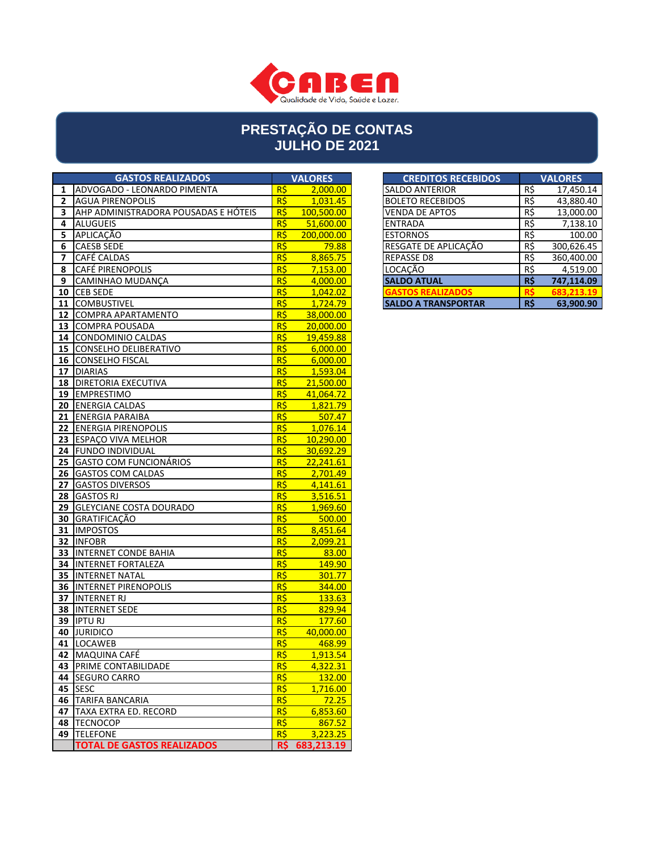

#### **PRESTAÇÃO DE CONTAS JULHO DE 2021**

|    | <b>GASTOS REALIZADOS</b>                        |                                  | <b>VALORES</b>        | <b>CREDITOS RECEBIDOS</b>  |            | <b>VALORES</b> |
|----|-------------------------------------------------|----------------------------------|-----------------------|----------------------------|------------|----------------|
| 1  | ADVOGADO - LEONARDO PIMENTA                     | $R\frac{1}{2}$                   | 2,000.00              | <b>SALDO ANTERIOR</b>      | R\$        | 17,450.14      |
| 2  | <b>AGUA PIRENOPOLIS</b>                         | $R\frac{1}{2}$                   | 1,031.45              | <b>BOLETO RECEBIDOS</b>    | R\$        | 43,880.40      |
| З  | AHP ADMINISTRADORA POUSADAS E HÓTEIS            | R\$                              | 100,500.00            | <b>VENDA DE APTOS</b>      | R\$        | 13,000.00      |
| 4  | <b>ALUGUEIS</b>                                 | $R\frac{1}{2}$                   | 51,600.00             | <b>ENTRADA</b>             | R\$        | 7,138.10       |
| 5  | APLICAÇÃO                                       | $R\frac{1}{2}$                   | 200,000.00            | <b>ESTORNOS</b>            | R\$        | 100.00         |
| 6  | <b>CAESB SEDE</b>                               | $R\frac{2}{3}$                   | 79.88                 | RESGATE DE APLICAÇÃO       | R\$        | 300,626.45     |
| 7  | CAFÉ CALDAS                                     | R\$                              | 8,865.75              | <b>REPASSE D8</b>          | R\$        | 360,400.00     |
| 8  | <b>CAFÉ PIRENOPOLIS</b>                         | $R\frac{1}{2}$                   | 7,153.00              | LOCAÇÃO                    | R\$        | 4,519.00       |
| 9  | CAMINHAO MUDANÇA                                | $R\frac{2}{3}$                   | 4,000.00              | <b>SALDO ATUAL</b>         | R\$        | 747,114.09     |
| 10 | <b>CEB SEDE</b>                                 | R\$                              | 1,042.02              | <b>GASTOS REALIZADOS</b>   | <b>R\$</b> | 683.213.19     |
| 11 | <b>COMBUSTIVEL</b>                              | R\$                              | $\overline{1,724.79}$ | <b>SALDO A TRANSPORTAR</b> | R\$        | 63,900.90      |
| 12 | <b>COMPRA APARTAMENTO</b>                       | R\$                              | 38,000.00             |                            |            |                |
| 13 | <b>COMPRA POUSADA</b>                           | R\$                              | 20,000.00             |                            |            |                |
| 14 | CONDOMINIO CALDAS                               | R\$                              | 19,459.88             |                            |            |                |
| 15 | CONSELHO DELIBERATIVO                           | R\$                              | 6,000.00              |                            |            |                |
|    | 16 CONSELHO FISCAL                              | $R\frac{1}{2}$                   | 6,000.00              |                            |            |                |
| 17 | <b>DIARIAS</b>                                  | R\$                              | 1,593.04              |                            |            |                |
| 18 | <b>DIRETORIA EXECUTIVA</b>                      | $R\frac{1}{2}$                   | 21,500.00             |                            |            |                |
| 19 | <b>EMPRESTIMO</b>                               | R\$                              | 41,064.72             |                            |            |                |
| 20 | <b>ENERGIA CALDAS</b>                           | $R\frac{1}{2}$                   | 1,821.79              |                            |            |                |
| 21 | <b>ENERGIA PARAIBA</b>                          | $R\frac{2}{3}$                   | 507.47                |                            |            |                |
| 22 | <b>ENERGIA PIRENOPOLIS</b>                      | $R\frac{2}{3}$                   | 1,076.14              |                            |            |                |
| 23 | <b>ESPAÇO VIVA MELHOR</b>                       | R\$                              | 10,290.00             |                            |            |                |
|    | 24 FUNDO INDIVIDUAL                             | R\$                              | 30,692.29             |                            |            |                |
| 25 | <b>GASTO COM FUNCIONÁRIOS</b>                   | $R\frac{1}{2}$                   | 22,241.61             |                            |            |                |
| 26 | <b>GASTOS COM CALDAS</b>                        | R\$                              | 2,701.49              |                            |            |                |
| 27 | <b>GASTOS DIVERSOS</b>                          | $R\frac{2}{3}$                   | 4,141.61              |                            |            |                |
| 28 | <b>GASTOS RJ</b>                                | $R\frac{2}{3}$                   | 3,516.51              |                            |            |                |
| 29 | <b>GLEYCIANE COSTA DOURADO</b>                  | $R\frac{2}{3}$                   | 1,969.60              |                            |            |                |
| 30 | GRATIFICAÇÃO                                    | $R\frac{1}{2}$<br>$R\frac{1}{2}$ | 500.00                |                            |            |                |
| 31 | <b>IMPOSTOS</b>                                 |                                  | 8,451.64              |                            |            |                |
| 32 | <b>INFOBR</b><br><b>33 INTERNET CONDE BAHIA</b> | R\$<br>$R\frac{2}{3}$            | 2,099.21<br>83.00     |                            |            |                |
| 34 | <b>INTERNET FORTALEZA</b>                       | $R\zeta$                         | 149.90                |                            |            |                |
| 35 | <b>INTERNET NATAL</b>                           | $R\frac{2}{3}$                   | 301.77                |                            |            |                |
| 36 | <b>INTERNET PIRENOPOLIS</b>                     | R\$                              | 344.00                |                            |            |                |
| 37 | <b>INTERNET RJ</b>                              | R\$                              | 133.63                |                            |            |                |
| 38 | <b>INTERNET SEDE</b>                            | $R\frac{1}{2}$                   | 829.94                |                            |            |                |
|    | 39 IPTU RJ                                      | $R\frac{2}{3}$                   | 177.60                |                            |            |                |
| 40 | <b>JURIDICO</b>                                 | R\$                              | 40,000.00             |                            |            |                |
|    | 41 LOCAWEB                                      | $R\frac{2}{3}$                   | 468.99                |                            |            |                |
|    | 42 MAQUINA CAFÉ                                 | $R\frac{2}{3}$                   | 1,913.54              |                            |            |                |
|    | 43 PRIME CONTABILIDADE                          | $R\frac{2}{3}$                   | 4,322.31              |                            |            |                |
|    | 44 SEGURO CARRO                                 | R\$                              | 132.00                |                            |            |                |
|    | 45 SESC                                         | R\$                              | 1.716.00              |                            |            |                |
|    | 46 TARIFA BANCARIA                              | $R\frac{2}{3}$                   | 72.25                 |                            |            |                |
|    | 47 TAXA EXTRA ED. RECORD                        | $R\frac{1}{2}$                   | 6,853.60              |                            |            |                |
|    | 48 TECNOCOP                                     | R\$                              | 867.52                |                            |            |                |
|    | 49 TELEFONE                                     | $R\frac{1}{2}$                   | 3,223.25              |                            |            |                |
|    | <b>TOTAL DE GASTOS REALIZADOS</b>               |                                  | R\$ 683,213.19        |                            |            |                |

| <b>VALORES</b> | <b>CREDITOS RECEBIDOS</b>  |     | <b>VALORES</b> |
|----------------|----------------------------|-----|----------------|
| 2,000.00       | <b>SALDO ANTERIOR</b>      | R\$ | 17,450.14      |
| 1,031.45       | <b>BOLETO RECEBIDOS</b>    | R\$ | 43,880.40      |
| 100,500.00     | <b>VENDA DE APTOS</b>      | R\$ | 13,000.00      |
| 51,600.00      | <b>ENTRADA</b>             | R\$ | 7,138.10       |
| 200,000.00     | <b>ESTORNOS</b>            | R\$ | 100.00         |
| 79.88          | RESGATE DE APLICAÇÃO       | R\$ | 300,626.45     |
| 8,865.75       | <b>REPASSE D8</b>          | R\$ | 360,400.00     |
| 7,153.00       | LOCAÇÃO                    | R\$ | 4,519.00       |
| 4,000.00       | <b>SALDO ATUAL</b>         | R\$ | 747,114.09     |
| 1,042.02       | <b>GASTOS REALIZADOS</b>   | RS  | 683.213.19     |
| 1.724.79       | <b>SALDO A TRANSPORTAR</b> | R\$ | 63.900.90      |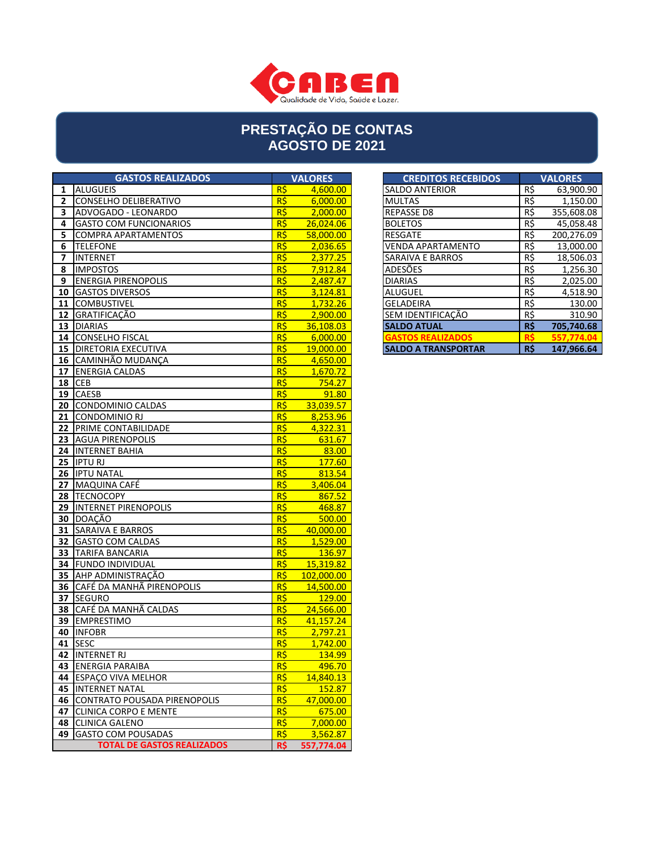

### **PRESTAÇÃO DE CONTAS AGOSTO DE 2021**

|    | <b>GASTOS REALIZADOS</b>          |                | <b>VALORES</b> | <b>CREDITOS RECEBIDOS</b>  |           | <b>VALORES</b> |
|----|-----------------------------------|----------------|----------------|----------------------------|-----------|----------------|
| 1  | <b>ALUGUEIS</b>                   | $R\frac{1}{2}$ | 4,600.00       | <b>SALDO ANTERIOR</b>      | R\$       | 63,900.90      |
| 2  | CONSELHO DELIBERATIVO             | $R\frac{1}{2}$ | 6,000.00       | <b>MULTAS</b>              | R\$       | 1,150.00       |
| З  | ADVOGADO - LEONARDO               | R\$            | 2,000.00       | <b>REPASSE D8</b>          | $R\zeta$  | 355,608.08     |
| 4  | <b>GASTO COM FUNCIONARIOS</b>     | $R\frac{2}{3}$ | 26,024.06      | <b>BOLETOS</b>             | R\$       | 45,058.48      |
| 5  | <b>COMPRA APARTAMENTOS</b>        | R\$            | 58,000.00      | <b>RESGATE</b>             | R\$       | 200,276.09     |
| 6  | <b>TELEFONE</b>                   | R\$            | 2,036.65       | <b>VENDA APARTAMENTO</b>   | R\$       | 13,000.00      |
| 7  | <b>INTERNET</b>                   | R\$            | 2,377.25       | <b>SARAIVA E BARROS</b>    | R\$       | 18,506.03      |
| 8  | <b>IMPOSTOS</b>                   | R\$            | 7,912.84       | ADESÕES                    | R\$       | 1,256.30       |
| 9  | <b>ENERGIA PIRENOPOLIS</b>        | R\$            | 2,487.47       | <b>DIARIAS</b>             | R\$       | 2,025.00       |
|    | 10 GASTOS DIVERSOS                | R\$            | 3,124.81       | <b>ALUGUEL</b>             | R\$       | 4,518.90       |
| 11 | <b>COMBUSTIVEL</b>                | R\$            | 1,732.26       | <b>GELADEIRA</b>           | R\$       | 130.00         |
|    | 12 GRATIFICAÇÃO                   | R\$            | 2,900.00       | SEM IDENTIFICAÇÃO          | R\$       | 310.90         |
|    | 13 DIARIAS                        | R\$            | 36,108.03      | <b>SALDO ATUAL</b>         | R\$       | 705,740.68     |
|    | 14 CONSELHO FISCAL                | R\$            | 6,000.00       | <b>GASTOS REALIZADOS</b>   | <b>RS</b> | 557,774.04     |
|    | <b>15   DIRETORIA EXECUTIVA</b>   | R\$            | 19,000.00      | <b>SALDO A TRANSPORTAR</b> | R\$       | 147,966.64     |
|    | 16 CAMINHÃO MUDANÇA               | R\$            | 4,650.00       |                            |           |                |
| 17 | <b>ENERGIA CALDAS</b>             | $R\frac{1}{2}$ | 1,670.72       |                            |           |                |
|    | <b>18 CEB</b>                     | $R\frac{1}{2}$ | 754.27         |                            |           |                |
|    | 19 CAESB                          | $R\frac{2}{3}$ | 91.80          |                            |           |                |
|    | 20 CONDOMINIO CALDAS              | R\$            | 33,039.57      |                            |           |                |
|    | 21 CONDOMINIO RJ                  | $R\frac{2}{3}$ | 8,253.96       |                            |           |                |
|    | 22 PRIME CONTABILIDADE            | $R\zeta$       | 4,322.31       |                            |           |                |
|    | 23 AGUA PIRENOPOLIS               | $R\frac{2}{3}$ | 631.67         |                            |           |                |
|    | 24 INTERNET BAHIA                 | R\$            | 83.00          |                            |           |                |
|    | 25 IPTU RJ                        | $R\frac{2}{3}$ | 177.60         |                            |           |                |
|    | 26 IPTU NATAL                     | $R\frac{2}{3}$ | 813.54         |                            |           |                |
|    | 27 MAQUINA CAFÉ                   | $R\frac{2}{3}$ | 3,406.04       |                            |           |                |
|    | 28 TECNOCOPY                      | R\$            | 867.52         |                            |           |                |
|    | 29 INTERNET PIRENOPOLIS           | R\$            | 468.87         |                            |           |                |
|    | 30 DOAÇÃO                         | R\$            | 500.00         |                            |           |                |
|    | <b>31 SARAIVA E BARROS</b>        | $R\frac{2}{3}$ | 40,000.00      |                            |           |                |
|    | 32 GASTO COM CALDAS               | R\$            | 1,529.00       |                            |           |                |
|    | <b>33 TARIFA BANCARIA</b>         | $R\frac{2}{3}$ | 136.97         |                            |           |                |
|    | 34 FUNDO INDIVIDUAL               | $R\frac{2}{3}$ | 15,319.82      |                            |           |                |
|    | 35 AHP ADMINISTRAÇÃO              | $R\frac{1}{2}$ | 102,000.00     |                            |           |                |
|    | 36 CAFÉ DA MANHÃ PIRENOPOLIS      | R\$            | 14,500.00      |                            |           |                |
|    | 37 SEGURO                         | $R\frac{2}{3}$ | 129.00         |                            |           |                |
|    | 38 CAFÉ DA MANHÃ CALDAS           | R\$            | 24,566.00      |                            |           |                |
|    | 39 EMPRESTIMO                     | $R\text{S}$    | 41,157.24      |                            |           |                |
|    | 40 INFOBR                         | $R\frac{1}{2}$ | 2,797.21       |                            |           |                |
|    | 41 SESC                           | R\$            | 1,742.00       |                            |           |                |
|    | 42 INTERNET RJ                    | $R\zeta$       | 134.99         |                            |           |                |
|    | 43 ENERGIA PARAIBA                | R\$            | 496.70         |                            |           |                |
|    | 44 ESPAÇO VIVA MELHOR             | $R\frac{1}{2}$ | 14.840.13      |                            |           |                |
|    | 45 INTERNET NATAL                 | $R\frac{1}{2}$ | 152.87         |                            |           |                |
|    | 46 CONTRATO POUSADA PIRENOPOLIS   | $R\frac{2}{3}$ | 47,000.00      |                            |           |                |
|    | 47 CLINICA CORPO E MENTE          | $R\frac{2}{3}$ | 675.00         |                            |           |                |
|    | 48 CLINICA GALENO                 | $R\frac{2}{3}$ | 7,000.00       |                            |           |                |
|    | 49 GASTO COM POUSADAS             | $R\frac{1}{2}$ | 3,562.87       |                            |           |                |
|    | <b>TOTAL DE GASTOS REALIZADOS</b> | R\$            | 557,774.04     |                            |           |                |

| <b>VALORES</b> | <b>CREDITOS RECEBIDOS</b>  | <b>VALORES</b> |            |  |
|----------------|----------------------------|----------------|------------|--|
| 4,600.00       | <b>SALDO ANTERIOR</b>      | R\$            | 63,900.90  |  |
| 6,000.00       | <b>MULTAS</b>              | R\$            | 1,150.00   |  |
| 2,000.00       | <b>REPASSE D8</b>          | R\$            | 355,608.08 |  |
| 26,024.06      | <b>BOLETOS</b>             | R\$            | 45,058.48  |  |
| 58,000.00      | <b>RESGATE</b>             | R\$            | 200,276.09 |  |
| 2.036.65       | <b>VENDA APARTAMENTO</b>   | R\$            | 13.000.00  |  |
| 2.377.25       | SARAIVA E BARROS           | R\$            | 18,506.03  |  |
| 7.912.84       | ADESÕES                    | R\$            | 1,256.30   |  |
| 2,487.47       | <b>DIARIAS</b>             | R\$            | 2,025.00   |  |
| 3.124.81       | ALUGUEL                    | R\$            | 4,518.90   |  |
| 1,732.26       | <b>GELADEIRA</b>           | R\$            | 130.00     |  |
| 2.900.00       | SEM IDENTIFICAÇÃO          | R\$            | 310.90     |  |
| 36,108.03      | <b>SALDO ATUAL</b>         | R\$            | 705,740.68 |  |
| 6.000.00       | <b>GASTOS REALIZADOS</b>   | R\$            | 557.774.04 |  |
| 19.000.00      | <b>SALDO A TRANSPORTAR</b> | R\$            | 147.966.64 |  |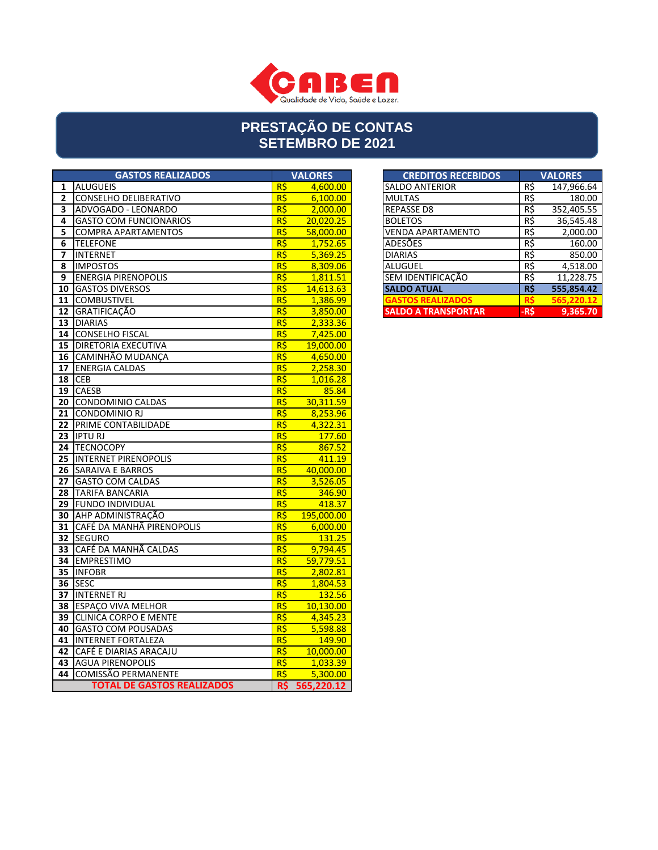

# **PRESTAÇÃO DE CONTAS SETEMBRO DE 2021**

|    | <b>GASTOS REALIZADOS</b>          |                 | <b>VALORES</b> | <b>CREDITOS RECEBIDOS</b>  |                 | <b>VALORES</b> |
|----|-----------------------------------|-----------------|----------------|----------------------------|-----------------|----------------|
| 1  | <b>ALUGUEIS</b>                   | R\$             | 4.600.00       | <b>SALDO ANTERIOR</b>      | R\$             | 147,966.64     |
| 2  | CONSELHO DELIBERATIVO             | $R\frac{1}{2}$  | 6,100.00       | <b>MULTAS</b>              | $R\overline{S}$ | 180.00         |
| 3  | ADVOGADO - LEONARDO               | $R\overline{S}$ | 2,000.00       | <b>REPASSE D8</b>          | $R\overline{S}$ | 352,405.55     |
| 4  | <b>GASTO COM FUNCIONARIOS</b>     | R\$             | 20,020.25      | <b>BOLETOS</b>             | $R\overline{S}$ | 36,545.48      |
| 5  | <b>COMPRA APARTAMENTOS</b>        | R\$             | 58,000.00      | <b>VENDA APARTAMENTO</b>   | R\$             | 2,000.00       |
| 6  | <b>TELEFONE</b>                   | $R\frac{2}{3}$  | 1,752.65       | ADESÕES                    | $R\overline{S}$ | 160.00         |
| 7  | <b>INTERNET</b>                   | $R\overline{S}$ | 5,369.25       | <b>DIARIAS</b>             | $R\overline{S}$ | 850.00         |
| 8  | <b>IMPOSTOS</b>                   | $R\frac{2}{3}$  | 8,309.06       | ALUGUEL                    | $R\overline{S}$ | 4,518.00       |
| 9  | <b>ENERGIA PIRENOPOLIS</b>        | $R\frac{1}{2}$  | 1,811.51       | SEM IDENTIFICAÇÃO          | R\$             | 11,228.75      |
| 10 | <b>GASTOS DIVERSOS</b>            | $R\frac{1}{2}$  | 14,613.63      | <b>SALDO ATUAL</b>         | R\$             | 555,854.42     |
|    | 11 COMBUSTIVEL                    | $R\frac{1}{2}$  | 1,386.99       | <b>GASTOS REALIZADOS</b>   | R\$             | 565,220.12     |
|    | 12 GRATIFICAÇÃO                   | $R\overline{S}$ | 3,850.00       | <b>SALDO A TRANSPORTAR</b> | -R\$            | 9,365.70       |
|    | 13 DIARIAS                        | $R\frac{1}{2}$  | 2,333.36       |                            |                 |                |
|    | 14 CONSELHO FISCAL                | R\$             | 7,425.00       |                            |                 |                |
|    | 15 DIRETORIA EXECUTIVA            | $R\overline{S}$ | 19,000.00      |                            |                 |                |
|    | 16 CAMINHÃO MUDANÇA               | $R\frac{1}{2}$  | 4,650.00       |                            |                 |                |
|    | 17 ENERGIA CALDAS                 | $R\frac{1}{2}$  | 2,258.30       |                            |                 |                |
|    | $18$ CEB                          | $R\frac{2}{3}$  | 1,016.28       |                            |                 |                |
|    | 19 CAESB                          | $R\frac{2}{3}$  | 85.84          |                            |                 |                |
|    | 20 CONDOMINIO CALDAS              | R\$             | 30.311.59      |                            |                 |                |
|    | 21 CONDOMINIO RJ                  | $R\frac{1}{2}$  | 8,253.96       |                            |                 |                |
|    | 22 PRIME CONTABILIDADE            | $R\overline{S}$ | 4,322.31       |                            |                 |                |
|    | 23 IPTU RJ                        | $R\frac{1}{2}$  | 177.60         |                            |                 |                |
|    | 24 TECNOCOPY                      | $R\overline{S}$ | 867.52         |                            |                 |                |
|    | 25 INTERNET PIRENOPOLIS           | $R\frac{2}{3}$  | 411.19         |                            |                 |                |
|    | 26 SARAIVA E BARROS               | $R\frac{2}{3}$  | 40,000.00      |                            |                 |                |
|    | 27 GASTO COM CALDAS               | $R\frac{2}{3}$  | 3,526.05       |                            |                 |                |
|    | 28 TARIFA BANCARIA                | R\$             | 346.90         |                            |                 |                |
|    | 29 FUNDO INDIVIDUAL               | $R\frac{2}{3}$  | 418.37         |                            |                 |                |
|    | <b>30 AHP ADMINISTRAÇÃO</b>       | $R\overline{S}$ | 195,000.00     |                            |                 |                |
|    | 31 CAFÉ DA MANHÃ PIRENOPOLIS      | $R\frac{1}{2}$  | 6,000.00       |                            |                 |                |
|    | 32 SEGURO                         | $R\frac{1}{2}$  | 131.25         |                            |                 |                |
|    | 33 CAFÉ DA MANHÃ CALDAS           | $R\overline{S}$ | 9,794.45       |                            |                 |                |
|    | 34 EMPRESTIMO                     | $R\frac{2}{3}$  | 59,779.51      |                            |                 |                |
|    | 35 INFOBR                         | $R\frac{1}{2}$  | 2,802.81       |                            |                 |                |
|    | <b>36 SESC</b>                    | $R\frac{2}{3}$  | 1,804.53       |                            |                 |                |
|    | 37 INTERNET RJ                    | $R\overline{S}$ | 132.56         |                            |                 |                |
|    | 38 ESPAÇO VIVA MELHOR             | $R\overline{S}$ | 10,130.00      |                            |                 |                |
|    | <b>39 CLINICA CORPO E MENTE</b>   | R\$             | 4,345.23       |                            |                 |                |
|    | 40 GASTO COM POUSADAS             | $R\frac{1}{2}$  | 5,598.88       |                            |                 |                |
| 41 | <b>INTERNET FORTALEZA</b>         | R\$             | 149.90         |                            |                 |                |
|    | 42 CAFÉ E DIARIAS ARACAJU         | R\$             | 10,000.00      |                            |                 |                |
|    | 43 AGUA PIRENOPOLIS               | R\$             | 1,033.39       |                            |                 |                |
|    | 44 COMISSÃO PERMANENTE            | $R\text{S}$     | 5,300.00       |                            |                 |                |
|    | <b>TOTAL DE GASTOS REALIZADOS</b> |                 | R\$ 565,220.12 |                            |                 |                |

| <b>VALORES</b> | <b>CREDITOS RECEBIDOS</b>  |           | <b>VALORES</b> |
|----------------|----------------------------|-----------|----------------|
| 4,600.00       | <b>SALDO ANTERIOR</b>      | R\$       | 147,966.64     |
| 6,100.00       | <b>MULTAS</b>              | R\$       | 180.00         |
| 2,000.00       | <b>REPASSE D8</b>          | R\$       | 352,405.55     |
| 20,020.25      | <b>BOLETOS</b>             | R\$       | 36,545.48      |
| 58,000.00      | <b>VENDA APARTAMENTO</b>   | R\$       | 2,000.00       |
| 1,752.65       | ADESÕES                    | R\$       | 160.00         |
| 5,369.25       | <b>DIARIAS</b>             | R\$       | 850.00         |
| 8,309.06       | ALUGUEL                    | R\$       | 4,518.00       |
| 1,811.51       | SEM IDENTIFICAÇÃO          | R\$       | 11,228.75      |
| 14,613.63      | <b>SALDO ATUAL</b>         | R\$       | 555,854.42     |
| 1,386.99       | <b>GASTOS REALIZADOS</b>   | <b>RS</b> | 565,220.12     |
| 3.850.00       | <b>SALDO A TRANSPORTAR</b> | -R\$      | 9.365.70       |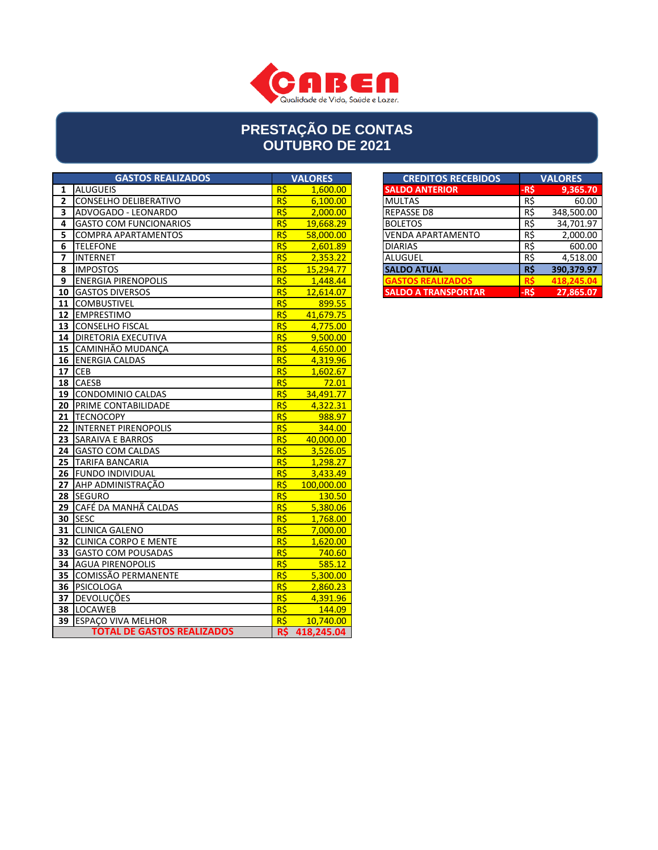

#### **PRESTAÇÃO DE CONTAS OUTUBRO DE 2021**

|    | <b>GASTOS REALIZADOS</b>          |                 | <b>VALORES</b> | <b>CREDITOS RECEBIDOS</b>  |      | <b>VALORES</b> |
|----|-----------------------------------|-----------------|----------------|----------------------------|------|----------------|
| 1  | <b>ALUGUEIS</b>                   | $R\frac{1}{2}$  | 1,600.00       | <b>SALDO ANTERIOR</b>      | -R\$ | 9,365.70       |
| 2  | CONSELHO DELIBERATIVO             | $R\overline{S}$ | 6,100.00       | <b>MULTAS</b>              | R\$  | 60.00          |
| 3  | ADVOGADO - LEONARDO               | R\$             | 2,000.00       | <b>REPASSE D8</b>          | R\$  | 348,500.00     |
| 4  | <b>GASTO COM FUNCIONARIOS</b>     | R\$             | 19,668.29      | <b>BOLETOS</b>             | R\$  | 34,701.97      |
| 5  | <b>COMPRA APARTAMENTOS</b>        | R\$             | 58,000.00      | <b>VENDA APARTAMENTO</b>   | R\$  | 2,000.00       |
| 6  | <b>TELEFONE</b>                   | R\$             | 2,601.89       | <b>DIARIAS</b>             | R\$  | 600.00         |
| 7  | <b>INTERNET</b>                   | R\$             | 2,353.22       | <b>ALUGUEL</b>             | R\$  | 4,518.00       |
| 8  | <b>IMPOSTOS</b>                   | $R\frac{2}{3}$  | 15,294.77      | <b>SALDO ATUAL</b>         | R\$  | 390,379.97     |
| 9  | <b>ENERGIA PIRENOPOLIS</b>        | R\$             | 1,448.44       | <b>GASTOS REALIZADOS</b>   | R\$  | 418,245.04     |
| 10 | <b>GASTOS DIVERSOS</b>            | R\$             | 12,614.07      | <b>SALDO A TRANSPORTAR</b> | -R\$ | 27,865.07      |
| 11 | <b>COMBUSTIVEL</b>                | $R\frac{2}{3}$  | 899.55         |                            |      |                |
| 12 | <b>EMPRESTIMO</b>                 | R\$             | 41,679.75      |                            |      |                |
| 13 | <b>CONSELHO FISCAL</b>            | R\$             | 4,775.00       |                            |      |                |
| 14 | <b>DIRETORIA EXECUTIVA</b>        | $R\overline{S}$ | 9,500.00       |                            |      |                |
| 15 | CAMINHÃO MUDANCA                  | R\$             | 4,650.00       |                            |      |                |
| 16 | <b>ENERGIA CALDAS</b>             | R\$             | 4,319.96       |                            |      |                |
|    | <b>17 CEB</b>                     | $R\overline{S}$ | 1,602.67       |                            |      |                |
| 18 | <b>CAESB</b>                      | R\$             | 72.01          |                            |      |                |
| 19 | CONDOMINIO CALDAS                 | R\$             | 34,491.77      |                            |      |                |
| 20 | PRIME CONTABILIDADE               | $R\overline{S}$ | 4,322.31       |                            |      |                |
| 21 | <b>TECNOCOPY</b>                  | R\$             | 988.97         |                            |      |                |
| 22 | <b>INTERNET PIRENOPOLIS</b>       | R\$             | 344.00         |                            |      |                |
| 23 | <b>SARAIVA E BARROS</b>           | $R\overline{S}$ | 40,000.00      |                            |      |                |
| 24 | <b>GASTO COM CALDAS</b>           | $R\frac{2}{3}$  | 3,526.05       |                            |      |                |
| 25 | <b>TARIFA BANCARIA</b>            | $R\overline{S}$ | 1,298.27       |                            |      |                |
| 26 | <b>FUNDO INDIVIDUAL</b>           | R\$             | 3,433.49       |                            |      |                |
| 27 | AHP ADMINISTRAÇÃO                 | $R\frac{2}{3}$  | 100,000.00     |                            |      |                |
| 28 | <b>SEGURO</b>                     | $R\overline{S}$ | 130.50         |                            |      |                |
| 29 | CAFÉ DA MANHÃ CALDAS              | R\$             | 5,380.06       |                            |      |                |
| 30 | <b>SESC</b>                       | R\$             | 1,768.00       |                            |      |                |
| 31 | <b>CLINICA GALENO</b>             | $R\overline{S}$ | 7,000.00       |                            |      |                |
| 32 | <b>CLINICA CORPO E MENTE</b>      | $R\frac{1}{2}$  | 1,620.00       |                            |      |                |
| 33 | <b>GASTO COM POUSADAS</b>         | $R\frac{1}{2}$  | 740.60         |                            |      |                |
| 34 | <b>AGUA PIRENOPOLIS</b>           | R\$             | 585.12         |                            |      |                |
| 35 | COMISSÃO PERMANENTE               | $R\frac{1}{2}$  | 5,300.00       |                            |      |                |
| 36 | <b>PSICOLOGA</b>                  | $R\overline{S}$ | 2,860.23       |                            |      |                |
| 37 | <b>DEVOLUÇÕES</b>                 | R\$             | 4,391.96       |                            |      |                |
| 38 | <b>LOCAWEB</b>                    | $R\frac{1}{2}$  | 144.09         |                            |      |                |
| 39 | <b>ESPAÇO VIVA MELHOR</b>         | $R\frac{2}{3}$  | 10,740.00      |                            |      |                |
|    | <b>TOTAL DE GASTOS REALIZADOS</b> | R\$             | 418,245.04     |                            |      |                |

| <b>VALORES</b> | <b>CREDITOS RECEBIDOS</b>  |      | <b>VALORES</b> |
|----------------|----------------------------|------|----------------|
| 1,600.00       | <b>SALDO ANTERIOR</b>      | -R\$ | 9,365.70       |
| 6,100.00       | <b>MULTAS</b>              | R\$  | 60.00          |
| 2,000.00       | <b>REPASSE D8</b>          | R\$  | 348,500.00     |
| 19,668.29      | <b>BOLETOS</b>             | R\$  | 34,701.97      |
| 58,000.00      | <b>VENDA APARTAMENTO</b>   | R\$  | 2,000.00       |
| 2,601.89       | <b>DIARIAS</b>             | R\$  | 600.00         |
| 2,353.22       | <b>ALUGUEL</b>             | R\$  | 4,518.00       |
| 15,294.77      | <b>SALDO ATUAL</b>         | R\$  | 390,379.97     |
| 1,448.44       | <b>GASTOS REALIZADOS</b>   | RS   | 418,245.04     |
| 12.614.07      | <b>SALDO A TRANSPORTAR</b> | -R\$ | 27.865.07      |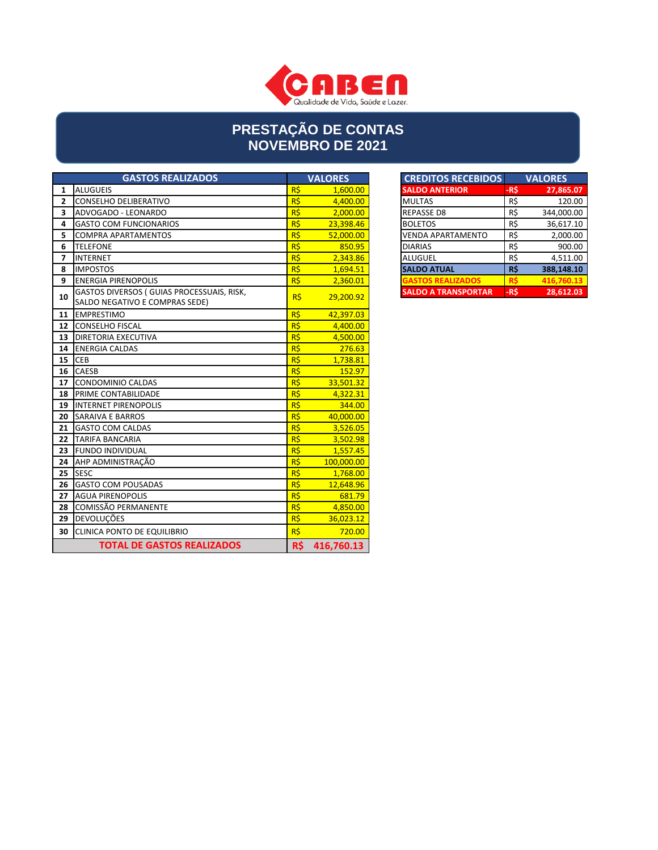

# **PRESTAÇÃO DE CONTAS NOVEMBRO DE 2021**

|                | <b>GASTOS REALIZADOS</b>                                                    |                 | <b>VALORES</b> | <b>CREDITOS RECEBIDOS</b>  |      | <b>VALORES</b> |
|----------------|-----------------------------------------------------------------------------|-----------------|----------------|----------------------------|------|----------------|
| 1              | <b>ALUGUEIS</b>                                                             | R\$             | 1,600.00       | <b>SALDO ANTERIOR</b>      | -R\$ | 27,865.07      |
| $\overline{2}$ | CONSELHO DELIBERATIVO                                                       | R\$             | 4,400.00       | <b>MULTAS</b>              | R\$  | 120.00         |
| 3              | ADVOGADO - LEONARDO                                                         | R\$             | 2,000.00       | <b>REPASSE D8</b>          | R\$  | 344,000.00     |
| 4              | <b>GASTO COM FUNCIONARIOS</b>                                               | R\$             | 23,398.46      | <b>BOLETOS</b>             | R\$  | 36,617.10      |
| 5              | <b>COMPRA APARTAMENTOS</b>                                                  | $R\frac{2}{3}$  | 52,000.00      | <b>VENDA APARTAMENTO</b>   | R\$  | 2,000.00       |
| 6              | <b>TELEFONE</b>                                                             | R\$             | 850.95         | <b>DIARIAS</b>             | R\$  | 900.00         |
| 7              | <b>INTERNET</b>                                                             | R\$             | 2,343.86       | <b>ALUGUEL</b>             | R\$  | 4,511.00       |
| 8              | <b>IMPOSTOS</b>                                                             | R\$             | 1.694.51       | <b>SALDO ATUAL</b>         | R\$  | 388,148.10     |
| 9              | <b>ENERGIA PIRENOPOLIS</b>                                                  | R\$             | 2.360.01       | <b>GASTOS REALIZADOS</b>   | R\$  | 416,760.13     |
| 10             | GASTOS DIVERSOS (GUIAS PROCESSUAIS, RISK,<br>SALDO NEGATIVO E COMPRAS SEDE) | R\$             | 29,200.92      | <b>SALDO A TRANSPORTAR</b> | -R\$ | 28,612.03      |
| 11             | <b>EMPRESTIMO</b>                                                           | $R\frac{2}{3}$  | 42,397.03      |                            |      |                |
| 12             | <b>CONSELHO FISCAL</b>                                                      | R\$             | 4,400.00       |                            |      |                |
| 13             | <b>DIRETORIA EXECUTIVA</b>                                                  | R\$             | 4,500.00       |                            |      |                |
| 14             | <b>ENERGIA CALDAS</b>                                                       | $R\overline{S}$ | 276.63         |                            |      |                |
| 15             | <b>CEB</b>                                                                  | R\$             | 1,738.81       |                            |      |                |
| 16             | <b>CAESB</b>                                                                | R\$             | 152.97         |                            |      |                |
| 17             | <b>CONDOMINIO CALDAS</b>                                                    | R\$             | 33,501.32      |                            |      |                |
| 18             | PRIME CONTABILIDADE                                                         | $R\frac{2}{3}$  | 4,322.31       |                            |      |                |
| 19             | <b>INTERNET PIRENOPOLIS</b>                                                 | R\$             | 344.00         |                            |      |                |
| 20             | <b>SARAIVA E BARROS</b>                                                     | R\$             | 40,000.00      |                            |      |                |
| 21             | <b>GASTO COM CALDAS</b>                                                     | R\$             | 3,526.05       |                            |      |                |
| 22             | <b>TARIFA BANCARIA</b>                                                      | R\$             | 3,502.98       |                            |      |                |
| 23             | <b>FUNDO INDIVIDUAL</b>                                                     | R\$             | 1.557.45       |                            |      |                |
| 24             | AHP ADMINISTRAÇÃO                                                           | $R\frac{2}{3}$  | 100,000.00     |                            |      |                |
| 25             | <b>SESC</b>                                                                 | $R\frac{2}{3}$  | 1,768.00       |                            |      |                |
| 26             | <b>GASTO COM POUSADAS</b>                                                   | R\$             | 12,648.96      |                            |      |                |
| 27             | <b>AGUA PIRENOPOLIS</b>                                                     | R\$             | 681.79         |                            |      |                |
| 28             | <b>COMISSÃO PERMANENTE</b>                                                  | R\$             | 4,850.00       |                            |      |                |
| 29             | <b>DEVOLUÇÕES</b>                                                           | R\$             | 36.023.12      |                            |      |                |
| 30             | <b>CLINICA PONTO DE EQUILIBRIO</b>                                          | R\$             | 720.00         |                            |      |                |
|                | <b>TOTAL DE GASTOS REALIZADOS</b>                                           | R\$             | 416,760.13     |                            |      |                |

| <b>VALORES</b> | <b>CREDITOS RECEBIDOS</b>  |           | <b>VALORES</b> |
|----------------|----------------------------|-----------|----------------|
| 1,600.00       | <b>SALDO ANTERIOR</b>      | -R\$      | 27,865.07      |
| 4,400.00       | <b>MULTAS</b>              | R\$       | 120.00         |
| 2.000.00       | <b>REPASSE D8</b>          | R\$       | 344,000.00     |
| 23,398.46      | <b>BOLETOS</b>             | R\$       | 36,617.10      |
| 52,000.00      | <b>VENDA APARTAMENTO</b>   | R\$       | 2,000.00       |
| 850.95         | <b>DIARIAS</b>             | R\$       | 900.00         |
| 2,343.86       | <b>ALUGUEL</b>             | R\$       | 4,511.00       |
| 1,694.51       | <b>SALDO ATUAL</b>         | R\$       | 388,148.10     |
| 2,360.01       | <b>GASTOS REALIZADOS</b>   | <b>RŚ</b> | 416.760.13     |
| 20.200.02      | <b>SALDO A TRANSPORTAR</b> | -R\$      | 28,612.03      |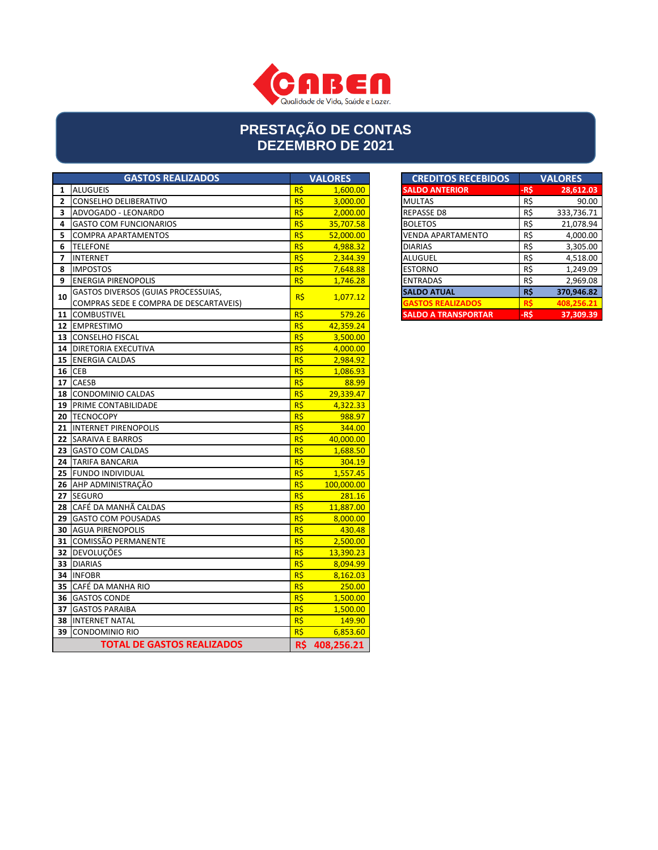

# **PRESTAÇÃO DE CONTAS DEZEMBRO DE 2021**

|                | <b>GASTOS REALIZADOS</b>                                                      |                | <b>VALORES</b> | <b>CREDITOS RECEBIDOS</b>                      |            | <b>VALORES</b>           |
|----------------|-------------------------------------------------------------------------------|----------------|----------------|------------------------------------------------|------------|--------------------------|
|                | 1 ALUGUEIS                                                                    | R\$            | 1,600.00       | <b>SALDO ANTERIOR</b>                          | -R\$       | 28,612.03                |
| $\mathbf{2}$   | <b>CONSELHO DELIBERATIVO</b>                                                  | R\$            | 3,000.00       | <b>MULTAS</b>                                  | R\$        | 90.00                    |
| 3              | ADVOGADO - LEONARDO                                                           | R\$            | 2,000.00       | <b>REPASSE D8</b>                              | R\$        | 333,736.71               |
| 4              | <b>GASTO COM FUNCIONARIOS</b>                                                 | R\$            | 35,707.58      | <b>BOLETOS</b>                                 | R\$        | 21,078.94                |
| 5              | <b>COMPRA APARTAMENTOS</b>                                                    | $R\frac{2}{3}$ | 52,000.00      | <b>VENDA APARTAMENTO</b>                       | R\$        | 4,000.00                 |
| 6              | <b>TELEFONE</b>                                                               | R\$            | 4,988.32       | <b>DIARIAS</b>                                 | R\$        | 3,305.00                 |
| $\overline{7}$ | <b>INTERNET</b>                                                               | R\$            | 2,344.39       | <b>ALUGUEL</b>                                 | R\$        | 4,518.00                 |
| 8              | <b>IMPOSTOS</b>                                                               | R\$            | 7,648.88       | <b>ESTORNO</b>                                 | R\$        | 1,249.09                 |
| 9              | <b>ENERGIA PIRENOPOLIS</b>                                                    | R\$            | 1,746.28       | <b>ENTRADAS</b>                                | R\$        | 2,969.08                 |
| 10             | GASTOS DIVERSOS (GUIAS PROCESSUIAS,<br>COMPRAS SEDE E COMPRA DE DESCARTAVEIS) | R\$            | 1,077.12       | <b>SALDO ATUAL</b><br><b>GASTOS REALIZADOS</b> | R\$<br>R\$ | 370,946.82<br>408,256.21 |
|                | 11 COMBUSTIVEL                                                                | R\$            | 579.26         | <b>SALDO A TRANSPORTAR</b>                     | -R\$       | 37,309.39                |
|                | 12 EMPRESTIMO                                                                 | $R\frac{2}{3}$ | 42,359.24      |                                                |            |                          |
|                | 13 CONSELHO FISCAL                                                            | R\$            | 3,500.00       |                                                |            |                          |
|                | <b>14 DIRETORIA EXECUTIVA</b>                                                 | R\$            | 4,000.00       |                                                |            |                          |
|                | <b>15 ENERGIA CALDAS</b>                                                      | R\$            | 2,984.92       |                                                |            |                          |
|                | $16$ CEB                                                                      | R\$            | 1,086.93       |                                                |            |                          |
|                | 17 CAESB                                                                      | R\$            | 88.99          |                                                |            |                          |
|                | 18 CONDOMINIO CALDAS                                                          | R\$            | 29,339.47      |                                                |            |                          |
|                | <b>19 PRIME CONTABILIDADE</b>                                                 | R\$            | 4,322.33       |                                                |            |                          |
|                | 20 TECNOCOPY                                                                  | R\$            | 988.97         |                                                |            |                          |
|                | 21 INTERNET PIRENOPOLIS                                                       | R\$            | 344.00         |                                                |            |                          |
|                | 22 SARAIVA E BARROS                                                           | R\$            | 40,000.00      |                                                |            |                          |
|                | 23 GASTO COM CALDAS                                                           | R\$            | 1,688.50       |                                                |            |                          |
|                | 24 TARIFA BANCARIA                                                            | R\$            | 304.19         |                                                |            |                          |
|                | 25 FUNDO INDIVIDUAL                                                           | $R\frac{2}{3}$ | 1,557.45       |                                                |            |                          |
|                | 26 AHP ADMINISTRAÇÃO                                                          | R\$            | 100,000.00     |                                                |            |                          |
|                | 27 SEGURO                                                                     | $R\frac{2}{3}$ | 281.16         |                                                |            |                          |
|                | 28 CAFÉ DA MANHÃ CALDAS                                                       | R\$            | 11,887.00      |                                                |            |                          |
|                | 29 GASTO COM POUSADAS                                                         | $R\frac{2}{3}$ | 8,000.00       |                                                |            |                          |
|                | <b>30 AGUA PIRENOPOLIS</b>                                                    | R\$            | 430.48         |                                                |            |                          |
|                | 31 COMISSÃO PERMANENTE                                                        | $R\frac{1}{2}$ | 2,500.00       |                                                |            |                          |
|                | 32 DEVOLUÇÕES                                                                 | R\$            | 13,390.23      |                                                |            |                          |
|                | 33 DIARIAS                                                                    | R\$            | 8,094.99       |                                                |            |                          |
|                | 34 INFOBR                                                                     | R\$            | 8,162.03       |                                                |            |                          |
|                | 35 CAFÉ DA MANHA RIO                                                          | $R\frac{1}{2}$ | 250.00         |                                                |            |                          |
|                | <b>36 GASTOS CONDE</b>                                                        | R\$            | 1,500.00       |                                                |            |                          |
|                | <b>37 GASTOS PARAIBA</b>                                                      | R\$            | 1,500.00       |                                                |            |                          |
|                | <b>38 INTERNET NATAL</b>                                                      | $R\frac{1}{2}$ | 149.90         |                                                |            |                          |
| 39             | <b>CONDOMINIO RIO</b>                                                         | $R\frac{1}{2}$ | 6,853.60       |                                                |            |                          |
|                | <b>TOTAL DE GASTOS REALIZADOS</b>                                             | R\$            | 408,256.21     |                                                |            |                          |

| <b>VALORES</b> | <b>CREDITOS RECEBIDOS</b>  |      | <b>VALORES</b> |
|----------------|----------------------------|------|----------------|
| 1,600.00       | <b>SALDO ANTERIOR</b>      | -R\$ | 28,612.03      |
| 3.000.00       | <b>MULTAS</b>              | R\$  | 90.00          |
| 2.000.00       | <b>REPASSE D8</b>          | R\$  | 333,736.71     |
| 35.707.58      | <b>BOLETOS</b>             | R\$  | 21,078.94      |
| 52,000.00      | <b>VENDA APARTAMENTO</b>   | R\$  | 4,000.00       |
| 4,988.32       | <b>DIARIAS</b>             | R\$  | 3,305.00       |
| 2.344.39       | <b>ALUGUEL</b>             | R\$  | 4,518.00       |
| 7.648.88       | <b>ESTORNO</b>             | R\$  | 1,249.09       |
| 1.746.28       | <b>ENTRADAS</b>            | R\$  | 2,969.08       |
| 1.077.12       | <b>SALDO ATUAL</b>         | R\$  | 370.946.82     |
|                | <b>GASTOS REALIZADOS</b>   | R\$  | 408,256.21     |
| 579.26         | <b>SALDO A TRANSPORTAR</b> | -R\$ | 37.309.39      |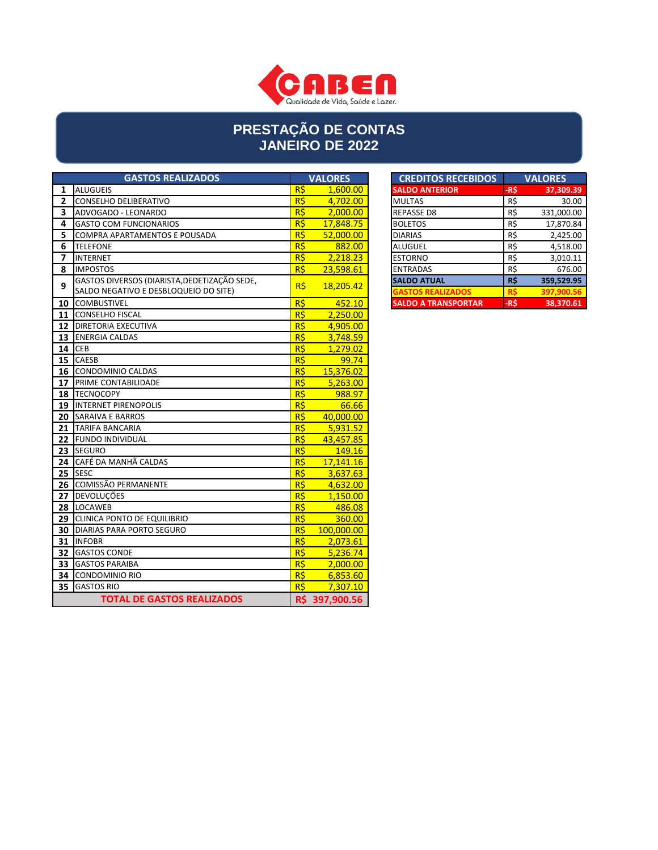

### **PRESTAÇÃO DE CONTAS JANEIRO DE 2022**

|    | <b>GASTOS REALIZADOS</b>                                                              |                 | <b>VALORES</b> | <b>CREDITOS RECEBIDOS</b>                      |                       | <b>VALORES</b>           |
|----|---------------------------------------------------------------------------------------|-----------------|----------------|------------------------------------------------|-----------------------|--------------------------|
| 1  | ALUGUEIS                                                                              | R\$             | 1,600.00       | <b>SALDO ANTERIOR</b>                          | -R\$                  | 37,309.39                |
| 2  | <b>CONSELHO DELIBERATIVO</b>                                                          | $R\frac{2}{3}$  | 4,702.00       | <b>MULTAS</b>                                  | R\$                   | 30.00                    |
| 3  | ADVOGADO - LEONARDO                                                                   | $R\frac{1}{2}$  | 2,000.00       | <b>REPASSE D8</b>                              | R\$                   | 331,000.00               |
| 4  | <b>GASTO COM FUNCIONARIOS</b>                                                         | $R\frac{1}{2}$  | 17,848.75      | <b>BOLETOS</b>                                 | R\$                   | 17,870.84                |
| 5  | COMPRA APARTAMENTOS E POUSADA                                                         | $R\overline{S}$ | 52,000.00      | <b>DIARIAS</b>                                 | $R\zeta$              | 2,425.00                 |
| 6  | <b>TELEFONE</b>                                                                       | $R\frac{2}{3}$  | 882.00         | <b>ALUGUEL</b>                                 | R\$                   | 4,518.00                 |
| 7  | <b>INTERNET</b>                                                                       | $R\frac{2}{3}$  | 2,218.23       | <b>ESTORNO</b>                                 | R\$                   | 3,010.11                 |
| 8  | <b>IMPOSTOS</b>                                                                       | $R\overline{S}$ | 23,598.61      | <b>ENTRADAS</b>                                | $R\overline{S}$       | 676.00                   |
| 9  | GASTOS DIVERSOS (DIARISTA, DEDETIZAÇÃO SEDE,<br>SALDO NEGATIVO E DESBLOQUEIO DO SITE) | R\$             | 18,205.42      | <b>SALDO ATUAL</b><br><b>GASTOS REALIZADOS</b> | $R\frac{2}{3}$<br>R\$ | 359,529.95<br>397,900.56 |
|    | 10 COMBUSTIVEL                                                                        | $R\frac{2}{3}$  | 452.10         | <b>SALDO A TRANSPORTAR</b>                     | -R\$                  | 38,370.61                |
|    | 11 CONSELHO FISCAL                                                                    | $R\overline{S}$ | 2,250.00       |                                                |                       |                          |
|    | <b>12 DIRETORIA EXECUTIVA</b>                                                         | $R\overline{S}$ | 4,905.00       |                                                |                       |                          |
|    | 13 ENERGIA CALDAS                                                                     | $R\frac{2}{3}$  | 3,748.59       |                                                |                       |                          |
|    | $14$ CEB                                                                              | $R\frac{1}{2}$  | 1,279.02       |                                                |                       |                          |
|    | 15 CAESB                                                                              | $R\frac{1}{2}$  | 99.74          |                                                |                       |                          |
|    | <b>16 CONDOMINIO CALDAS</b>                                                           | R\$             | 15,376.02      |                                                |                       |                          |
|    | 17 PRIME CONTABILIDADE                                                                | $R\frac{1}{2}$  | 5,263.00       |                                                |                       |                          |
|    | 18 TECNOCOPY                                                                          | R\$             | 988.97         |                                                |                       |                          |
|    | 19 INTERNET PIRENOPOLIS                                                               | $R\overline{S}$ | 66.66          |                                                |                       |                          |
|    | <b>20 SARAIVA E BARROS</b>                                                            | $R\frac{2}{3}$  | 40,000.00      |                                                |                       |                          |
| 21 | <b>TARIFA BANCARIA</b>                                                                | $R\frac{1}{2}$  | 5,931.52       |                                                |                       |                          |
|    | 22 FUNDO INDIVIDUAL                                                                   | $R\overline{S}$ | 43,457.85      |                                                |                       |                          |
|    | 23 SEGURO                                                                             | R\$             | 149.16         |                                                |                       |                          |
| 24 | CAFÉ DA MANHÃ CALDAS                                                                  | R\$             | 17.141.16      |                                                |                       |                          |
|    | 25 SESC                                                                               | R\$             | 3,637.63       |                                                |                       |                          |
|    | 26 COMISSÃO PERMANENTE                                                                | $R\overline{S}$ | 4,632.00       |                                                |                       |                          |
|    | 27 DEVOLUÇÕES                                                                         | $R\overline{S}$ | 1,150.00       |                                                |                       |                          |
|    | 28 LOCAWEB                                                                            | $R\overline{S}$ | 486.08         |                                                |                       |                          |
|    | 29 CLINICA PONTO DE EQUILIBRIO                                                        | $R\overline{S}$ | 360.00         |                                                |                       |                          |
|    | <b>30 DIARIAS PARA PORTO SEGURO</b>                                                   | $R\frac{1}{2}$  | 100,000.00     |                                                |                       |                          |
|    | 31 INFOBR                                                                             | $R\frac{1}{2}$  | 2.073.61       |                                                |                       |                          |
|    | <b>32 GASTOS CONDE</b>                                                                | $R\frac{1}{2}$  | 5,236.74       |                                                |                       |                          |
|    | <b>33 GASTOS PARAIBA</b>                                                              | R\$             | 2,000.00       |                                                |                       |                          |
|    | 34 CONDOMINIO RIO                                                                     | $R\frac{1}{2}$  | 6,853.60       |                                                |                       |                          |
|    | 35 GASTOS RIO                                                                         | R\$             | 7,307.10       |                                                |                       |                          |
|    | <b>TOTAL DE GASTOS REALIZADOS</b>                                                     |                 | R\$ 397,900.56 |                                                |                       |                          |

| <b>VALORES</b> | <b>CREDITOS RECEBIDOS</b>  |           | <b>VALORES</b> |
|----------------|----------------------------|-----------|----------------|
| 1,600.00       | <b>SALDO ANTERIOR</b>      | -R\$      | 37,309.39      |
| 4,702.00       | <b>MULTAS</b>              | R\$       | 30.00          |
| 2,000.00       | <b>REPASSE D8</b>          | R\$       | 331,000.00     |
| 17,848.75      | <b>BOLETOS</b>             | R\$       | 17,870.84      |
| 52,000.00      | <b>DIARIAS</b>             | R\$       | 2,425.00       |
| 882.00         | <b>ALUGUEL</b>             | R\$       | 4,518.00       |
| 2,218.23       | <b>ESTORNO</b>             | R\$       | 3,010.11       |
| 23,598.61      | <b>ENTRADAS</b>            | R\$       | 676.00         |
| 18.205.42      | <b>SALDO ATUAL</b>         | R\$       | 359,529.95     |
|                | <b>GASTOS REALIZADOS</b>   | <b>RŚ</b> | 397,900.56     |
| 452.10         | <b>SALDO A TRANSPORTAR</b> | -R\$      | 38.370.61      |